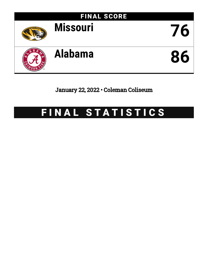

January 22, 2022 • Coleman Coliseum

# FINAL STATISTICS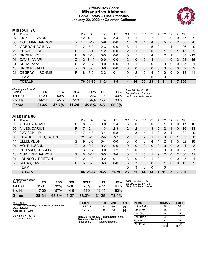### **Official Box Score Missouri vs Alabama Game Totals -- Final Statistics January 22, 2022 at Coleman Coliseum**



# **Missouri 76**

| No. | Plaver                    | S  | <b>Pts</b>      | FG       | 3FG       | FT      | 0R | DR       | TR       | PF       | A        | TO       | <b>B</b> lk   | Stl      | Min        | $+/-$ |
|-----|---------------------------|----|-----------------|----------|-----------|---------|----|----------|----------|----------|----------|----------|---------------|----------|------------|-------|
| 04  | PICKETT, JAVON            | G  | 12 <sup>°</sup> | $4 - 10$ | 1-4       | $3 - 4$ | 0  |          |          | 2        | 3        |          | 0             | 0        | 37         | -9    |
| 05  | <b>COLEMAN, JARRON</b>    | G  | 17              | $6 - 12$ | $5-9$     | $0 - 0$ |    | 3        | 4        | 4        | 3        | 5        | $\mathbf{0}$  | 2        | 38         | -6    |
| 12  | <b>GORDON, DAJUAN</b>     | G  | 12              | $5-9$    | $2 - 3$   | $0 - 0$ | 3  | 1        | 4        | 5        | 2        |          |               |          | 26         | 0     |
| 23  | <b>BRAZILE, TREVON</b>    |    |                 | $3 - 4$  | $1 - 2$   | $0 - 0$ | 2  |          | 3        | $\Omega$ | 0        | 1        | $\mathcal{P}$ |          | 13         | 2     |
| 24  | <b>BROWN, KOBE</b>        | F. | 6               | $3 - 13$ | $0 - 3$   | $0 - 0$ | 5  | 5        | 10       | 4        | 4        | 2        |               |          | 38         | $-13$ |
| 01  | DAVIS, AMARI              | G  | 12 <sup>2</sup> | $6 - 10$ | $0 - 0$   | $0 - 0$ | 2  | $\Omega$ | 2        | 4        |          | 1        | $\Omega$      | 2        | 25         | $-16$ |
| 11  | KEITA, YAYA               | F  | っ               | $1 - 2$  | $0 - 0$   | $0 - 0$ | 0  | 1        | 1        | 0        | 0        | 0        | $\Omega$      | 0        | 3          | 1     |
| 13  | <b>BROWN, KALEB</b>       | G  | $\Omega$        | $0 - 0$  | $0 - 0$   | $0 - 0$ | 0  | 0        | $\Omega$ | 0        | 0        | $\Omega$ | $\Omega$      | $\Omega$ | 2          | 2     |
| 21  | <b>DEGRAY III, RONNIE</b> | F. | 8               | $3-5$    | $2 - 3$   | $0 - 1$ | 0  | 2        | 2        | 4        | $\Omega$ | $\Omega$ | $\Omega$      | $\Omega$ | 18         | -11   |
|     | TEAM                      |    |                 |          |           |         |    | 2        | 3        | 0        |          | 0        |               |          |            |       |
|     | <b>TOTALS</b>             |    |                 | 76 31-65 | $11 - 24$ | $3 - 5$ | 14 | 16       | 30       | 23       | 13       | 11       | 4             |          | <b>200</b> |       |
|     |                           |    |                 |          |           |         |    |          |          |          |          |          |               |          |            |       |

| <b>Shooting By Period</b><br>Period | FG        | FG%   | 3FG       | 3FG%     | FT      | FT%   | Last FG: 2nd-01:38<br>Largest lead: By 14 at |
|-------------------------------------|-----------|-------|-----------|----------|---------|-------|----------------------------------------------|
| 1st Half                            | 17-34     | 50%   | 4-11      | 36%      | $2 - 2$ | 100%  | Technical Fouls: None.                       |
| 2nd Half                            | 14.31     | 45%   | 7-13      | 54%      | $1 - 3$ | 33%   |                                              |
| Game                                | $31 - 65$ | 47.7% | $11 - 24$ | $45.8\%$ | $3 - 5$ | 60.0% |                                              |

# **Alabama 86**

| No. | Plaver                  | S | <b>Pts</b> | FG.      | 3FG      | FТ        | 0 <sub>R</sub> | DR | TR       | PF       | A        | TO       | <b>B</b> lk | Stl      | Min        | $+/-$ |
|-----|-------------------------|---|------------|----------|----------|-----------|----------------|----|----------|----------|----------|----------|-------------|----------|------------|-------|
| 00  | <b>GURLEY, NOAH</b>     | F | 8          | $3 - 3$  | $0-0$    | 2-4       | 3              | 0  | 3        |          |          |          |             | 0        | 17         | -10   |
| 02  | MILES, DARIUS           | F |            | $2 - 4$  | $1 - 3$  | $2 - 3$   | $\overline{2}$ | 2  | 4        | 3.       | 0        | 2        |             | 0        | 16         | 13    |
| 03  | DAVISON, JD             | G | 17         | $4 - 8$  | $3 - 4$  | $6 - 8$   |                | 3  | 4        |          | 2        | 2        |             |          | 32         | 9     |
| 05  | SHACKELFORD, JADEN      | G | 21         | $6 - 16$ | $2-6$    | $7 - 7$   | $\overline{2}$ | 5  |          |          |          | $\Omega$ | 0           |          | 33         | 8     |
| 14  | ELLIS, KEON             | G | 9          | $3-6$    | $3 - 4$  | $0 - 0$   | 3              | 0  | 3        | 4        | 1        | 2        |             | 3        | 32         | 18    |
| 01  | HOLT, JUSAUN            | G | $\Omega$   | $0 - 2$  | $0 - 2$  | $0 - 0$   | $\Omega$       | 0  | $\Omega$ | 0        | 0        | $\Omega$ | $\Omega$    | 0        | 11         | $-2$  |
| 10  | <b>BEDIAKO, CHARLES</b> | С | 3          | $1 - 2$  | $0 - 0$  | $1 - 2$   |                | 0  |          | 2        | 0        | 0        |             | 0        | 8          | $-7$  |
| 13  | <b>QUINERLY, JAHVON</b> | G | 13         | $5 - 14$ | $0 - 3$  | $3 - 4$   | $\mathbf{0}$   | 5  | 5.       |          | 9        | 2        | 0           | 2        | 36         | 11    |
| 21  | <b>JOHNSON, BRITTON</b> | G | 2          | $1 - 3$  | $0 - 2$  | $0 - 1$   | 3              | 0  | 3        |          | 0        | 1        | 0           | 0        | 3          | 1     |
| 33  | ROJAS, JAMES            | F | 6.         | $3-6$    | $0 - 3$  | $0 - 0$   | 3              | 3  | 6        | 0        | $\Omega$ | 1        | 0           | $\Omega$ | 12         | 9     |
|     | <b>TEAM</b>             |   |            |          |          |           | 5              | 3  | 8        | $\Omega$ |          | 0        |             |          |            |       |
|     | TOTALS                  |   | 86         | 28-64    | $9 - 27$ | $21 - 29$ | 23             | 21 | 44       | 13       | 14       | 11       | 5           |          | <b>200</b> |       |

| Game                                | 28-64     | 43.8% | $9 - 27$ | 33.3% | $21 - 29$ | 72.4% |   |
|-------------------------------------|-----------|-------|----------|-------|-----------|-------|---|
| 2nd Half                            | $17 - 30$ | 57%   | 4-9      | 44%   | $12 - 15$ | 80%   |   |
| 1st Half                            | 11-34     | 32%   | $5-18$   | 28%   | $9 - 14$  | 64%   | Τ |
| <b>Shooting By Period</b><br>Period | FG        | FG%   | 3FG      | 3FG%  | FT        | FT%   |   |

*Last FG:* 2nd-01:27 *Largest lead:* By 10 at *Technical Fouls:* None.

| Game Notes:                                      | <b>Score</b>                                                        | 1st | 2nd | тот               | <b>Points</b> | <b>MIZZOU</b> | <b>Bama</b>    |
|--------------------------------------------------|---------------------------------------------------------------------|-----|-----|-------------------|---------------|---------------|----------------|
| Officials: Pat Adams, K.B. Burdett Jr., Valdimir | <b>MIZZOU</b>                                                       | 40  | 36  | 76                | In the Paint  | 36            | 38             |
| Voyard-Tadal<br>Attendance: 10799                | Bama                                                                | 36  | 50  | 86                | Off Turns     | 18            | 2 <sup>1</sup> |
|                                                  |                                                                     |     |     |                   | 2nd Chance    | 18            | 24             |
| Start Time: 11:00 PM<br>Conference Game:         | MIZZOU led for 33:21. Bama led for 5:06.<br>Game was tied for $0.0$ |     |     | <b>Fast Break</b> | $ -$          |               |                |

**MIZZOU led for 33:21. Bama led for 5:06. Game was tied for 0:0.** Times tied: **2** Lead Changes: **3**

|            | ິ              | ິ              |
|------------|----------------|----------------|
| Off Turns  | 18             | 21             |
| 2nd Chance | 18             | 24             |
| Fast Break |                | 12             |
| Bench      | 22             | 24             |
| Per Poss   | 1.188<br>33/64 | 1.344<br>39/64 |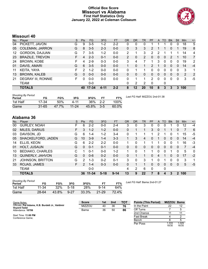### **Official Box Score Missouri vs Alabama First Half Statistics Only January 22, 2022 at Coleman Coliseum**



# **Missouri 40**

| No. | Plaver                    | S  | <b>Pts</b>    | <b>FG</b> | 3FG     | <b>FT</b> | <b>OR</b>      | <b>DR</b> | TR       | PF            | A        | TO | <b>B</b> lk  | Stl      | Min | $+/-$          |
|-----|---------------------------|----|---------------|-----------|---------|-----------|----------------|-----------|----------|---------------|----------|----|--------------|----------|-----|----------------|
| 04  | PICKETT, JAVON            | G  | 9             | $3-5$     | 1-2     | $2 - 2$   | 0              | 0         | 0        |               |          |    | 0            | 0        | 18  | 5              |
| 05  | <b>COLEMAN, JARRON</b>    | G  | 8             | $3 - 5$   | $2 - 3$ | $0 - 0$   | 0              | 3         | 3        | 2             |          |    | 0            |          | 19  | 8              |
| 12  | GORDON, DAJUAN            | G  |               | $3-5$     | $1 - 2$ | $0-0$     | 2              |           | 3        | 2             | 2        |    |              |          | 14  | 4              |
| 23  | <b>BRAZILE, TREVON</b>    | F. | 4             | $2 - 3$   | $0 - 1$ | $0-0$     | $\overline{2}$ | 0         | 2        | 0             | 0        | 0  | 2            |          | 10  | $\overline{7}$ |
| 24  | <b>BROWN, KOBE</b>        | F. | 4             | $2-9$     | $0 - 3$ | $0-0$     | 3              | 4         |          |               | 3        | 0  | 0            | 0        | 19  | 2              |
| 01  | DAVIS, AMARI              | G  | 6             | $3 - 5$   | $0 - 0$ | $0 - 0$   |                | 0         |          | $\mathcal{P}$ |          | 0  | $\Omega$     | 0        | 14  | $-4$           |
| 11  | KEITA, YAYA               | F  | $\mathcal{P}$ | $1 - 2$   | $0 - 0$ | $0-0$     | $\Omega$       |           |          | 0             | 0        | 0  | 0            | 0        | 3   | 1              |
| 13  | <b>BROWN, KALEB</b>       | G  | 0             | $0 - 0$   | $0 - 0$ | $0 - 0$   | 0              | 0         | $\Omega$ | $\Omega$      | 0        | 0  | $\mathbf{0}$ | 0        | 2   | 2              |
| 21  | <b>DEGRAY III, RONNIE</b> | F. | 0             | $0 - 0$   | $0-0$   | $0 - 0$   | $\Omega$       | 1         | 1        | 2             | $\Omega$ | 0  | 0            | $\Omega$ | 3   | -5             |
|     | TEAM                      |    |               | $0-0$     |         |           | 0              | 2         | 2        | $\Omega$      |          | 0  |              |          |     |                |
|     | <b>TOTALS</b>             |    | 40            | $17 - 34$ | 4-11    | $2 - 2$   | 8              | 12        | 20       | 10            | 8        | 3  | З            | 3        | 100 |                |

| <b>Shooting By Period</b><br>Period | FG        | FG%   | 3FG       | 3FG%  |         | FT%   | Last FG Half: MIZZOU 2nd-01:38 |
|-------------------------------------|-----------|-------|-----------|-------|---------|-------|--------------------------------|
| 1st Half                            | 17-34     | 50%   | 4-11      | 36%   | $2 - 2$ | 100%  |                                |
| Game                                | $31 - 65$ | 47.7% | $11 - 24$ | 45.8% | $-3-5$  | 60.0% |                                |

# **Alabama 36**

| No. | Plaver                  | S | <b>Pts</b>    | FG        | 3FG      | <b>FT</b> | <b>OR</b> | DR       | TR | PF | A | TO | <b>Blk</b>     | Stl          | Min | $+/-$ |
|-----|-------------------------|---|---------------|-----------|----------|-----------|-----------|----------|----|----|---|----|----------------|--------------|-----|-------|
| 00  | <b>GURLEY, NOAH</b>     | F | 6             | $2 - 2$   | $0 - 0$  | $2 - 4$   | 3         | 0        | 3  | 0  | 0 | 0  |                | 0            | 12  | $-4$  |
| 02  | <b>MILES, DARIUS</b>    | F | 3             | $1 - 2$   | $1 - 2$  | $0 - 0$   | 0         |          |    | 3  | 0 |    |                | 0            |     | 6     |
| 03  | DAVISON, JD             | G | 6             | $1 - 4$   | $1 - 2$  | $3 - 4$   | 0         |          |    |    | 2 |    | 0              |              | 15  | -5    |
| 05  | SHACKELFORD, JADEN      | G | 10            | $3-9$     | $1 - 4$  | $3 - 3$   |           | 3        | 4  | 0  |   | 0  | $\overline{0}$ | 0            | 14  | $-4$  |
| 14  | ELLIS, KEON             | G | 6.            | $2 - 2$   | $2 - 2$  | $0 - 0$   | 1         | 0        |    |    |   | 0  | 0              |              | 16  | -3    |
| 01  | <b>HOLT, JUSAUN</b>     | G | 0             | $0 - 1$   | $0 - 1$  | $0 - 0$   | 0         | 0        | 0  | 0  | 0 | 0  | $\mathbf{0}$   | 0            | 7   | $-4$  |
| 10  | <b>BEDIAKO, CHARLES</b> | C |               | $0 - 1$   | $0 - 0$  | $1 - 2$   | 1.        | $\Omega$ |    |    | 0 | 0  |                | 0            | 5   | 0     |
| 13  | QUINERLY, JAHVON        | G | $\Omega$      | $0 - 6$   | $0 - 2$  | $0 - 0$   | 0         |          |    | 0  | 4 |    | $\Omega$       | 0            | 17  | $-2$  |
| 21  | <b>JOHNSON, BRITTON</b> | G | 2             | $1 - 3$   | $0 - 2$  | $0 - 1$   | 3         | $\Omega$ | 3  |    | 0 |    | $\Omega$       | 0            | 3   | 1     |
| 33  | ROJAS, JAMES            | F | $\mathcal{P}$ | $1 - 4$   | $0 - 3$  | $0 - 0$   | 0         |          |    | 0  | 0 | 0  | $\mathbf{0}$   | $\mathbf{0}$ | 5   | $-5$  |
|     | <b>TEAM</b>             |   |               | $0 - 0$   |          |           | 4         | 2        | 6  | 0  |   | 0  |                |              |     |       |
|     | <b>TOTALS</b>           |   | 36            | $11 - 34$ | $5 - 18$ | $9 - 14$  | 13        | 9        | 22 |    | 8 | 4  | 3              | 2            | 100 |       |

| <b>Shooting By Period</b><br>Period | FG    | FG%   | 3FG      | 3FG%  | FT        | FT%   |
|-------------------------------------|-------|-------|----------|-------|-----------|-------|
| 1st Half                            | 11-34 | 32%   | $5-18$   | 28%   | $9 - 14$  | 64%   |
| Game                                | 28-64 | 43.8% | $9 - 27$ | 33.3% | $21 - 29$ | 72.4% |

*Last FG Half:* Bama 2nd-01:27

| Game Notes:                                                      | <b>Score</b>  | 1st | 2nd | <b>TOT</b> | <b>Points (This Period)</b> | MIZZOU Bama    |                |
|------------------------------------------------------------------|---------------|-----|-----|------------|-----------------------------|----------------|----------------|
| Officials: Pat Adams, K.B. Burdett Jr., Valdimir<br>Voyard-Tadal | <b>MIZZOU</b> | 40  | 36  | 76         | In the Paint                | 22             | 12             |
| Attendance: 10799                                                | Bama          | 36  | 50  | 86         | Off Turns                   |                |                |
|                                                                  |               |     |     |            | 2nd Chance                  |                | 11             |
| Start Time: 11:00 PM<br>Conference Game:                         |               |     |     |            | <b>Fast Break</b>           |                |                |
|                                                                  |               |     |     |            | Bench                       |                |                |
|                                                                  |               |     |     |            | Per Poss                    | 1.333<br>18/30 | 1.029<br>16/35 |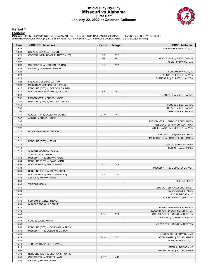#### **Official Play-By-Play Missouri vs Alabama First Half January 22, 2022 at Coleman Coliseum**



#### **Period 1**

<mark>Starters:</mark><br>Missouri: 4 PICKETT,JAVON (G); 5 COLEMAN,JARRON (G); 12 GORDON,DAJUAN (G); 23 BRAZILE,TREVON (F); 24 BROWN,KOBE (F);<br>**Alabama**: 0 GURLEY,NOAH (F); 2 MILES,DARIUS (F); 3 DAVISON,JD (G); 5 SHACKELFORD,JADEN (G);

| Time           | <b>VISITORS: Missouri</b>                                          | <b>Score</b> | <b>Margin</b>  | <b>HOME: Alabama</b>                           |
|----------------|--------------------------------------------------------------------|--------------|----------------|------------------------------------------------|
| 19:33          |                                                                    |              |                | TURNOVER by DAVISON, JD                        |
| 19:33          | STEAL by BRAZILE, TREVON                                           |              |                |                                                |
| 19:29          | GOOD! DUNK by BRAZILE, TREVON [FB]                                 | $0 - 2$      | V <sub>2</sub> |                                                |
| 19:07          |                                                                    | $3-2$        | H <sub>1</sub> | GOOD! 3PTR by MILES, DARIUS                    |
| 19:07          |                                                                    |              |                | ASSIST by DAVISON, JD                          |
| 18:38          | GOOD! 3PTR by GORDON, DAJUAN                                       | $3-5$        | V <sub>2</sub> |                                                |
| 18:38          | ASSIST by COLEMAN, JARRON                                          |              |                |                                                |
| 18:29          |                                                                    |              |                | SUB OUT: DAVISON, JD                           |
| 18:29          |                                                                    |              |                | SUB IN: QUINERLY, JAHVON                       |
| 18:28          |                                                                    |              |                | TURNOVER by QUINERLY, JAHVON                   |
| 18:28          | STEAL by COLEMAN, JARRON                                           |              |                |                                                |
| 18:23          | MISSED LAYUP by PICKETT, JAVON                                     |              |                |                                                |
| 18:17          | REBOUND (OFF) by GORDON, DAJUAN                                    |              |                |                                                |
| 18:17          | GOOD! LAYUP by GORDON, DAJUAN                                      | $3 - 7$      | V <sub>4</sub> |                                                |
| 18:08          |                                                                    |              |                | TURNOVER by MILES, DARIUS                      |
| 17:52          | MISSED 3PTR by BROWN, KOBE                                         |              |                |                                                |
| 17:51<br>17:51 | REBOUND (OFF) by BRAZILE, TREVON                                   |              |                |                                                |
|                |                                                                    |              |                | FOUL by MILES, DARIUS                          |
| 17:51<br>17:51 |                                                                    |              |                | SUB OUT: MILES, DARIUS<br>SUB IN: HOLT, JUSAUN |
| 17:47          | GOOD! 3PTR by COLEMAN, JARRON                                      | $3 - 10$     | V <sub>7</sub> |                                                |
| 17:47          | ASSIST by BROWN, KOBE                                              |              |                |                                                |
| 17:35          |                                                                    |              |                | MISSED 3PTR by SHACKELFORD, JADEN              |
| 17:31          |                                                                    |              |                | REBOUND (OFF) by GURLEY, NOAH                  |
| 17:22          |                                                                    |              |                | MISSED LAYUP by QUINERLY, JAHVON               |
| 17:22          | BLOCK by BRAZILE, TREVON                                           |              |                |                                                |
| 17:17          |                                                                    |              |                | REBOUND (OFF) by ELLIS, KEON                   |
| 17:11          |                                                                    |              |                | MISSED 3PTR by SHACKELFORD, JADEN              |
| 17:11          | REBOUND (DEF) by TEAM                                              |              |                |                                                |
| 17:10          |                                                                    |              |                | SUB OUT: GURLEY, NOAH                          |
| 17:10          |                                                                    |              |                | SUB IN: ROJAS, JAMES                           |
| 17:10          | SUB OUT: GORDON, DAJUAN                                            |              |                |                                                |
| 17:10          | SUB IN: DAVIS, AMARI                                               |              |                |                                                |
| 16:58          | MISSED 3PTR by BROWN, KOBE                                         |              |                |                                                |
| 16:54          | REBOUND (OFF) by DAVIS, AMARI                                      |              |                |                                                |
| 16:54          | GOOD! LAYUP by DAVIS, AMARI                                        | $3 - 12$     | V <sub>9</sub> |                                                |
| 16:38          |                                                                    |              |                | MISSED 3PTR by QUINERLY, JAHVON                |
| 16:34          | REBOUND (DEF) by BROWN, KOBE                                       |              |                |                                                |
| 16:32          | GOOD! LAYUP by DAVIS, AMARI [FB]                                   | $3 - 14$     | $V$ 11         |                                                |
| 16:32          | ASSIST by BROWN, KOBE                                              |              |                |                                                |
| 16:30          |                                                                    |              |                | TIMEOUT 30SEC                                  |
| 16:30          | <b>TIMEOUT MEDIA</b>                                               |              |                |                                                |
| 16:30          |                                                                    |              |                | SUB OUT: SHACKELFORD, JADEN                    |
| 16:30          |                                                                    |              |                | SUB OUT: ELLIS, KEON                           |
| 16:30          |                                                                    |              |                | SUB IN: DAVISON, JD                            |
| 16:30          |                                                                    |              |                | SUB IN: JOHNSON, BRITTON                       |
| 16:30          | SUB OUT: BRAZILE, TREVON                                           |              |                |                                                |
| 16:30          | SUB IN: DEGRAY III, RONNIE                                         |              |                |                                                |
| 16:16          |                                                                    |              |                | MISSED 3PTR by HOLT, JUSAUN                    |
| 16:12          |                                                                    |              |                | REBOUND (OFF) by JOHNSON, BRITTON              |
| 15:58          |                                                                    | $5 - 14$     | V <sub>9</sub> | GOOD! LAYUP by JOHNSON, BRITTON                |
| 15:58          |                                                                    |              |                | ASSIST by QUINERLY, JAHVON                     |
| 15:58<br>15:58 | FOUL by DAVIS, AMARI                                               |              |                |                                                |
| 15:58          |                                                                    |              |                | MISSED FT by JOHNSON, BRITTON                  |
| 15:39          | REBOUND (DEF) by COLEMAN, JARRON<br>MISSED 3PTR by COLEMAN, JARRON |              |                |                                                |
| 15:36          |                                                                    |              |                | REBOUND (DEF) by DAVISON, JD                   |
| 15:29          |                                                                    | $7 - 14$     | V <sub>7</sub> | GOOD! LAYUP by ROJAS, JAMES                    |
| 15:29          |                                                                    |              |                | ASSIST by DAVISON, JD                          |
| 15:13          | TURNOVER by PICKETT, JAVON                                         |              |                |                                                |
| 15:13          |                                                                    |              |                | STEAL by DAVISON, JD                           |
| 15:06          |                                                                    |              |                | MISSED 3PTR by ROJAS, JAMES                    |
| 15:03          | REBOUND (DEF) by DEGRAY III, RONNIE                                |              |                |                                                |
| 14:51          | GOOD! 3PTR by PICKETT, JAVON                                       | $7 - 17$     | $V$ 10         |                                                |
| 14:51          | ASSIST by BROWN, KOBE                                              |              |                |                                                |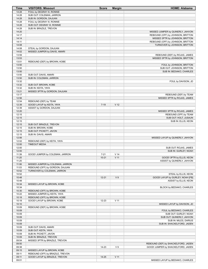| Time  | <b>VISITORS: Missouri</b>        | <b>Score</b> | <b>Margin</b>   | <b>HOME: Alabama</b>                |
|-------|----------------------------------|--------------|-----------------|-------------------------------------|
| 14:28 | FOUL by DEGRAY III, RONNIE       |              |                 |                                     |
| 14:28 | SUB OUT: COLEMAN, JARRON         |              |                 |                                     |
| 14:28 | SUB IN: GORDON, DAJUAN           |              |                 |                                     |
| 14:28 | FOUL by DEGRAY III, RONNIE       |              |                 |                                     |
| 14:28 | SUB OUT: DEGRAY III, RONNIE      |              |                 |                                     |
| 14:28 | SUB IN: BRAZILE, TREVON          |              |                 |                                     |
| 14:20 |                                  |              |                 | MISSED JUMPER by QUINERLY, JAHVON   |
| 14:17 |                                  |              |                 | REBOUND (OFF) by JOHNSON, BRITTON   |
| 14:14 |                                  |              |                 | MISSED 3PTR by JOHNSON, BRITTON     |
| 14:11 |                                  |              |                 | REBOUND (OFF) by JOHNSON, BRITTON   |
| 14:08 |                                  |              |                 | TURNOVER by JOHNSON, BRITTON        |
| 14:08 | STEAL by GORDON, DAJUAN          |              |                 |                                     |
| 14:02 | MISSED JUMPER by DAVIS, AMARI    |              |                 |                                     |
| 13:59 |                                  |              |                 | REBOUND (DEF) by ROJAS, JAMES       |
| 13:53 |                                  |              |                 | MISSED 3PTR by JOHNSON, BRITTON     |
| 13:51 | REBOUND (DEF) by BROWN, KOBE     |              |                 |                                     |
| 13:50 |                                  |              |                 | FOUL by JOHNSON, BRITTON            |
| 13:50 |                                  |              |                 | SUB OUT: JOHNSON, BRITTON           |
| 13:50 |                                  |              |                 | SUB IN: BEDIAKO, CHARLES            |
| 13:50 | SUB OUT: DAVIS, AMARI            |              |                 |                                     |
| 13:50 | SUB IN: COLEMAN, JARRON          |              |                 |                                     |
| 13:32 |                                  |              |                 | FOUL by DAVISON, JD                 |
| 13:32 | SUB OUT: BROWN, KOBE             |              |                 |                                     |
| 13:32 | SUB IN: KEITA, YAYA              |              |                 |                                     |
| 13:21 | MISSED 3PTR by GORDON, DAJUAN    |              |                 |                                     |
| 13:17 |                                  |              |                 | REBOUND (DEF) by TEAM               |
| 12:56 |                                  |              |                 | MISSED 3PTR by ROJAS, JAMES         |
| 12:54 | REBOUND (DEF) by TEAM            |              |                 |                                     |
| 12:39 | GOOD! LAYUP by KEITA, YAYA       | $7 - 19$     | V <sub>12</sub> |                                     |
| 12:39 | ASSIST by GORDON, DAJUAN         |              |                 |                                     |
| 12:20 |                                  |              |                 | MISSED 3PTR by ROJAS, JAMES         |
| 12:15 |                                  |              |                 | REBOUND (OFF) by TEAM               |
| 12:15 |                                  |              |                 | SUB OUT: HOLT, JUSAUN               |
| 12:15 |                                  |              |                 | SUB IN: ELLIS, KEON                 |
| 12:15 | SUB OUT: BRAZILE, TREVON         |              |                 |                                     |
| 12:15 | SUB IN: BROWN, KOBE              |              |                 |                                     |
| 12:15 | SUB OUT: PICKETT, JAVON          |              |                 |                                     |
| 12:15 |                                  |              |                 |                                     |
|       | SUB IN: DAVIS, AMARI             |              |                 |                                     |
| 12:06 |                                  |              |                 | MISSED LAYUP by QUINERLY, JAHVON    |
| 12:02 | REBOUND (DEF) by KEITA, YAYA     |              |                 |                                     |
| 12:00 | <b>TIMEOUT MEDIA</b>             |              |                 |                                     |
| 12:00 |                                  |              |                 | SUB OUT: ROJAS, JAMES               |
| 12:00 |                                  |              |                 | SUB IN: GURLEY, NOAH                |
| 11:39 | GOOD! JUMPER by COLEMAN, JARRON  | $7 - 21$     | V <sub>14</sub> |                                     |
| 11:25 |                                  | $10 - 21$    | $V$ 11          | GOOD! 3PTR by ELLIS, KEON           |
| 11:25 |                                  |              |                 | ASSIST by QUINERLY, JAHVON          |
| 11:06 | MISSED JUMPER by COLEMAN, JARRON |              |                 |                                     |
| 11:03 | REBOUND (OFF) by GORDON, DAJUAN  |              |                 |                                     |
| 10:52 | TURNOVER by COLEMAN, JARRON      |              |                 |                                     |
| 10:52 |                                  |              |                 | STEAL by ELLIS, KEON                |
| 10:48 |                                  | $12 - 21$    | V <sub>9</sub>  | GOOD! LAYUP by GURLEY, NOAH [FB]    |
| 10:48 |                                  |              |                 | ASSIST by ELLIS, KEON               |
| 10:34 | MISSED LAYUP by BROWN, KOBE      |              |                 |                                     |
| 10:34 |                                  |              |                 | BLOCK by BEDIAKO, CHARLES           |
| 10:30 | REBOUND (OFF) by BROWN, KOBE     |              |                 |                                     |
| 10:22 | MISSED JUMPER by KEITA, YAYA     |              |                 |                                     |
| 10:18 | REBOUND (OFF) by BROWN, KOBE     |              |                 |                                     |
| 10:18 | GOOD! LAYUP by BROWN, KOBE       | $12 - 23$    | $V$ 11          |                                     |
| 10:10 |                                  |              |                 | MISSED LAYUP by DAVISON, JD         |
| 10:09 | REBOUND (DEF) by BROWN, KOBE     |              |                 |                                     |
| 10:09 |                                  |              |                 | FOUL by BEDIAKO, CHARLES            |
| 10:09 |                                  |              |                 | SUB OUT: GURLEY, NOAH               |
| 10:09 |                                  |              |                 | SUB OUT: QUINERLY, JAHVON           |
| 10:09 |                                  |              |                 | SUB IN: MILES, DARIUS               |
| 10:09 |                                  |              |                 | SUB IN: SHACKELFORD, JADEN          |
| 10:09 | SUB OUT: DAVIS, AMARI            |              |                 |                                     |
| 10:09 | SUB OUT: KEITA, YAYA             |              |                 |                                     |
| 10:09 | SUB IN: PICKETT, JAVON           |              |                 |                                     |
| 10:09 | SUB IN: BRAZILE, TREVON          |              |                 |                                     |
| 09:54 | MISSED 3PTR by BRAZILE, TREVON   |              |                 |                                     |
| 09:50 |                                  |              |                 | REBOUND (DEF) by SHACKELFORD, JADEN |
| 09:38 |                                  | 14-23        | V <sub>9</sub>  | GOOD! JUMPER by SHACKELFORD, JADEN  |
| 09:15 | MISSED LAYUP by BROWN, KOBE      |              |                 |                                     |
| 09:11 | REBOUND (OFF) by BRAZILE, TREVON |              |                 |                                     |
| 09:11 | GOOD! LAYUP by BRAZILE, TREVON   | $14 - 25$    | $V$ 11          |                                     |
| 09:01 |                                  |              |                 | MISSED LAYUP by BEDIAKO, CHARLES    |
|       |                                  |              |                 |                                     |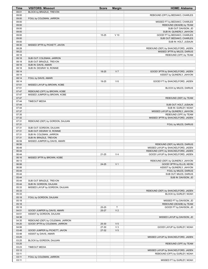| BLOCK by BRAZILE, TREVON<br>09:01<br>09:00<br>REBOUND (OFF) by BEDIAKO, CHARLES<br>09:00<br>FOUL by COLEMAN, JARRON<br>09:00<br>MISSED FT by BEDIAKO, CHARLES<br>09:00<br>REBOUND (DEADB) by TEAM<br>09:00<br>SUB OUT: DAVISON, JD<br>09:00<br>SUB IN: QUINERLY, JAHVON<br>09:00<br>15-25<br>$V$ 10<br>GOOD! FT by BEDIAKO, CHARLES<br>09:00<br>SUB OUT: BEDIAKO, CHARLES<br>09:00<br>SUB IN: HOLT, JUSAUN<br>08:30<br>MISSED 3PTR by PICKETT, JAVON<br>08:28<br>REBOUND (DEF) by SHACKELFORD, JADEN<br>08:22<br>MISSED 3PTR by MILES, DARIUS<br>08:18<br>REBOUND (OFF) by TEAM<br>08:18<br>SUB OUT: COLEMAN, JARRON<br>08:18<br>SUB OUT: BRAZILE, TREVON<br>08:18<br>SUB IN: DAVIS, AMARI<br>08:18<br>SUB IN: DEGRAY III, RONNIE<br>08:14<br>18-25<br>V <sub>7</sub><br>GOOD! 3PTR by SHACKELFORD, JADEN<br>08:14<br>ASSIST by QUINERLY, JAHVON<br>08:14<br>FOUL by DAVIS, AMARI<br>$V_6$<br>08:14<br>19-25<br>GOOD! FT by SHACKELFORD, JADEN<br>07:51<br>MISSED LAYUP by BROWN, KOBE<br>07:51<br>BLOCK by MILES, DARIUS<br>07:47<br>REBOUND (OFF) by BROWN, KOBE<br>07:47<br>MISSED JUMPER by BROWN, KOBE<br>07:47<br>REBOUND (DEF) by TEAM<br>07:44<br><b>TIMEOUT MEDIA</b><br>07:44<br>SUB OUT: HOLT, JUSAUN<br>07:44<br>SUB IN: GURLEY, NOAH<br>07:37<br>MISSED LAYUP by QUINERLY, JAHVON<br>07:35<br>REBOUND (OFF) by TEAM<br>07:32<br>MISSED 3PTR by SHACKELFORD, JADEN<br>07:31<br>REBOUND (DEF) by GORDON, DAJUAN<br>07:31<br>FOUL by MILES, DARIUS<br>07:31<br>SUB OUT: GORDON, DAJUAN<br>07:31<br>SUB OUT: DEGRAY III, RONNIE<br>07:31<br>SUB IN: COLEMAN, JARRON<br>07:31<br>SUB IN: BRAZILE, TREVON<br>06:59<br>MISSED JUMPER by DAVIS, AMARI<br>06:56<br>REBOUND (DEF) by MILES, DARIUS<br>MISSED LAYUP by SHACKELFORD, JADEN<br>06:49<br>06:44<br>REBOUND (OFF) by SHACKELFORD, JADEN<br>06:44<br>V <sub>4</sub><br>21-25<br>GOOD! LAYUP by SHACKELFORD, JADEN<br>06:16<br>MISSED 3PTR by BROWN, KOBE<br>REBOUND (DEF) by QUINERLY, JAHVON<br>06:13<br>06:06<br>V <sub>1</sub><br>GOOD! 3PTR by ELLIS, KEON<br>24-25<br>06:06<br>ASSIST by QUINERLY, JAHVON<br>05:44<br>FOUL by MILES, DARIUS<br>05:44<br>SUB OUT: MILES, DARIUS<br>05:44<br>SUB IN: DAVISON, JD<br>05:44<br>SUB OUT: BRAZILE, TREVON<br>05:44<br>SUB IN: GORDON, DAJUAN<br>05:33<br>MISSED LAYUP by GORDON, DAJUAN<br>05:33<br>REBOUND (DEF) by SHACKELFORD, JADEN<br>05:33<br>BLOCK by GURLEY, NOAH<br>05:18<br>FOUL by GORDON, DAJUAN<br>05:18<br>MISSED FT by DAVISON, JD<br>05:18<br>REBOUND (DEADB) by TEAM<br>T<br>GOOD! FT by DAVISON, JD<br>05:18<br>25-25<br>V <sub>2</sub><br>04:51<br>GOOD! JUMPER by DAVIS, AMARI<br>25-27<br>04:51<br>ASSIST by GORDON, DAJUAN<br>04:38<br>MISSED LAYUP by DAVISON, JD<br>04:35<br>REBOUND (DEF) by COLEMAN, JARRON<br>04:20<br>GOOD! 3PTR by COLEMAN, JARRON<br>25-30<br>V <sub>5</sub><br>04:06<br>27-30<br>$V_3$<br>GOOD! LAYUP by GURLEY, NOAH<br>V <sub>5</sub><br>03:48<br>27-32<br>GOOD! JUMPER by PICKETT, JAVON<br>03:48<br>ASSIST by DAVIS, AMARI<br>03:25<br>MISSED LAYUP by SHACKELFORD, JADEN<br>03:25<br>BLOCK by GORDON, DAJUAN<br>03:25<br>REBOUND (OFF) by TEAM<br>03:23<br><b>TIMEOUT MEDIA</b><br>03:12<br>MISSED LAYUP by SHACKELFORD, JADEN<br>03:11<br>REBOUND (OFF) by GURLEY, NOAH<br>03:11<br>FOUL by COLEMAN, JARRON<br>03:11<br>MISSED FT by GURLEY, NOAH | Time | <b>VISITORS: Missouri</b> | <b>Score</b> | <b>Margin</b> | <b>HOME: Alabama</b> |
|-------------------------------------------------------------------------------------------------------------------------------------------------------------------------------------------------------------------------------------------------------------------------------------------------------------------------------------------------------------------------------------------------------------------------------------------------------------------------------------------------------------------------------------------------------------------------------------------------------------------------------------------------------------------------------------------------------------------------------------------------------------------------------------------------------------------------------------------------------------------------------------------------------------------------------------------------------------------------------------------------------------------------------------------------------------------------------------------------------------------------------------------------------------------------------------------------------------------------------------------------------------------------------------------------------------------------------------------------------------------------------------------------------------------------------------------------------------------------------------------------------------------------------------------------------------------------------------------------------------------------------------------------------------------------------------------------------------------------------------------------------------------------------------------------------------------------------------------------------------------------------------------------------------------------------------------------------------------------------------------------------------------------------------------------------------------------------------------------------------------------------------------------------------------------------------------------------------------------------------------------------------------------------------------------------------------------------------------------------------------------------------------------------------------------------------------------------------------------------------------------------------------------------------------------------------------------------------------------------------------------------------------------------------------------------------------------------------------------------------------------------------------------------------------------------------------------------------------------------------------------------------------------------------------------------------------------------------------------------------------------------------------------------------------------------------------------------------------------------------------------------------------------------------------------------------------------------------------------------------------------------------------------------------------------------------------|------|---------------------------|--------------|---------------|----------------------|
|                                                                                                                                                                                                                                                                                                                                                                                                                                                                                                                                                                                                                                                                                                                                                                                                                                                                                                                                                                                                                                                                                                                                                                                                                                                                                                                                                                                                                                                                                                                                                                                                                                                                                                                                                                                                                                                                                                                                                                                                                                                                                                                                                                                                                                                                                                                                                                                                                                                                                                                                                                                                                                                                                                                                                                                                                                                                                                                                                                                                                                                                                                                                                                                                                                                                                                                   |      |                           |              |               |                      |
|                                                                                                                                                                                                                                                                                                                                                                                                                                                                                                                                                                                                                                                                                                                                                                                                                                                                                                                                                                                                                                                                                                                                                                                                                                                                                                                                                                                                                                                                                                                                                                                                                                                                                                                                                                                                                                                                                                                                                                                                                                                                                                                                                                                                                                                                                                                                                                                                                                                                                                                                                                                                                                                                                                                                                                                                                                                                                                                                                                                                                                                                                                                                                                                                                                                                                                                   |      |                           |              |               |                      |
|                                                                                                                                                                                                                                                                                                                                                                                                                                                                                                                                                                                                                                                                                                                                                                                                                                                                                                                                                                                                                                                                                                                                                                                                                                                                                                                                                                                                                                                                                                                                                                                                                                                                                                                                                                                                                                                                                                                                                                                                                                                                                                                                                                                                                                                                                                                                                                                                                                                                                                                                                                                                                                                                                                                                                                                                                                                                                                                                                                                                                                                                                                                                                                                                                                                                                                                   |      |                           |              |               |                      |
|                                                                                                                                                                                                                                                                                                                                                                                                                                                                                                                                                                                                                                                                                                                                                                                                                                                                                                                                                                                                                                                                                                                                                                                                                                                                                                                                                                                                                                                                                                                                                                                                                                                                                                                                                                                                                                                                                                                                                                                                                                                                                                                                                                                                                                                                                                                                                                                                                                                                                                                                                                                                                                                                                                                                                                                                                                                                                                                                                                                                                                                                                                                                                                                                                                                                                                                   |      |                           |              |               |                      |
|                                                                                                                                                                                                                                                                                                                                                                                                                                                                                                                                                                                                                                                                                                                                                                                                                                                                                                                                                                                                                                                                                                                                                                                                                                                                                                                                                                                                                                                                                                                                                                                                                                                                                                                                                                                                                                                                                                                                                                                                                                                                                                                                                                                                                                                                                                                                                                                                                                                                                                                                                                                                                                                                                                                                                                                                                                                                                                                                                                                                                                                                                                                                                                                                                                                                                                                   |      |                           |              |               |                      |
|                                                                                                                                                                                                                                                                                                                                                                                                                                                                                                                                                                                                                                                                                                                                                                                                                                                                                                                                                                                                                                                                                                                                                                                                                                                                                                                                                                                                                                                                                                                                                                                                                                                                                                                                                                                                                                                                                                                                                                                                                                                                                                                                                                                                                                                                                                                                                                                                                                                                                                                                                                                                                                                                                                                                                                                                                                                                                                                                                                                                                                                                                                                                                                                                                                                                                                                   |      |                           |              |               |                      |
|                                                                                                                                                                                                                                                                                                                                                                                                                                                                                                                                                                                                                                                                                                                                                                                                                                                                                                                                                                                                                                                                                                                                                                                                                                                                                                                                                                                                                                                                                                                                                                                                                                                                                                                                                                                                                                                                                                                                                                                                                                                                                                                                                                                                                                                                                                                                                                                                                                                                                                                                                                                                                                                                                                                                                                                                                                                                                                                                                                                                                                                                                                                                                                                                                                                                                                                   |      |                           |              |               |                      |
|                                                                                                                                                                                                                                                                                                                                                                                                                                                                                                                                                                                                                                                                                                                                                                                                                                                                                                                                                                                                                                                                                                                                                                                                                                                                                                                                                                                                                                                                                                                                                                                                                                                                                                                                                                                                                                                                                                                                                                                                                                                                                                                                                                                                                                                                                                                                                                                                                                                                                                                                                                                                                                                                                                                                                                                                                                                                                                                                                                                                                                                                                                                                                                                                                                                                                                                   |      |                           |              |               |                      |
|                                                                                                                                                                                                                                                                                                                                                                                                                                                                                                                                                                                                                                                                                                                                                                                                                                                                                                                                                                                                                                                                                                                                                                                                                                                                                                                                                                                                                                                                                                                                                                                                                                                                                                                                                                                                                                                                                                                                                                                                                                                                                                                                                                                                                                                                                                                                                                                                                                                                                                                                                                                                                                                                                                                                                                                                                                                                                                                                                                                                                                                                                                                                                                                                                                                                                                                   |      |                           |              |               |                      |
|                                                                                                                                                                                                                                                                                                                                                                                                                                                                                                                                                                                                                                                                                                                                                                                                                                                                                                                                                                                                                                                                                                                                                                                                                                                                                                                                                                                                                                                                                                                                                                                                                                                                                                                                                                                                                                                                                                                                                                                                                                                                                                                                                                                                                                                                                                                                                                                                                                                                                                                                                                                                                                                                                                                                                                                                                                                                                                                                                                                                                                                                                                                                                                                                                                                                                                                   |      |                           |              |               |                      |
|                                                                                                                                                                                                                                                                                                                                                                                                                                                                                                                                                                                                                                                                                                                                                                                                                                                                                                                                                                                                                                                                                                                                                                                                                                                                                                                                                                                                                                                                                                                                                                                                                                                                                                                                                                                                                                                                                                                                                                                                                                                                                                                                                                                                                                                                                                                                                                                                                                                                                                                                                                                                                                                                                                                                                                                                                                                                                                                                                                                                                                                                                                                                                                                                                                                                                                                   |      |                           |              |               |                      |
|                                                                                                                                                                                                                                                                                                                                                                                                                                                                                                                                                                                                                                                                                                                                                                                                                                                                                                                                                                                                                                                                                                                                                                                                                                                                                                                                                                                                                                                                                                                                                                                                                                                                                                                                                                                                                                                                                                                                                                                                                                                                                                                                                                                                                                                                                                                                                                                                                                                                                                                                                                                                                                                                                                                                                                                                                                                                                                                                                                                                                                                                                                                                                                                                                                                                                                                   |      |                           |              |               |                      |
|                                                                                                                                                                                                                                                                                                                                                                                                                                                                                                                                                                                                                                                                                                                                                                                                                                                                                                                                                                                                                                                                                                                                                                                                                                                                                                                                                                                                                                                                                                                                                                                                                                                                                                                                                                                                                                                                                                                                                                                                                                                                                                                                                                                                                                                                                                                                                                                                                                                                                                                                                                                                                                                                                                                                                                                                                                                                                                                                                                                                                                                                                                                                                                                                                                                                                                                   |      |                           |              |               |                      |
|                                                                                                                                                                                                                                                                                                                                                                                                                                                                                                                                                                                                                                                                                                                                                                                                                                                                                                                                                                                                                                                                                                                                                                                                                                                                                                                                                                                                                                                                                                                                                                                                                                                                                                                                                                                                                                                                                                                                                                                                                                                                                                                                                                                                                                                                                                                                                                                                                                                                                                                                                                                                                                                                                                                                                                                                                                                                                                                                                                                                                                                                                                                                                                                                                                                                                                                   |      |                           |              |               |                      |
|                                                                                                                                                                                                                                                                                                                                                                                                                                                                                                                                                                                                                                                                                                                                                                                                                                                                                                                                                                                                                                                                                                                                                                                                                                                                                                                                                                                                                                                                                                                                                                                                                                                                                                                                                                                                                                                                                                                                                                                                                                                                                                                                                                                                                                                                                                                                                                                                                                                                                                                                                                                                                                                                                                                                                                                                                                                                                                                                                                                                                                                                                                                                                                                                                                                                                                                   |      |                           |              |               |                      |
|                                                                                                                                                                                                                                                                                                                                                                                                                                                                                                                                                                                                                                                                                                                                                                                                                                                                                                                                                                                                                                                                                                                                                                                                                                                                                                                                                                                                                                                                                                                                                                                                                                                                                                                                                                                                                                                                                                                                                                                                                                                                                                                                                                                                                                                                                                                                                                                                                                                                                                                                                                                                                                                                                                                                                                                                                                                                                                                                                                                                                                                                                                                                                                                                                                                                                                                   |      |                           |              |               |                      |
|                                                                                                                                                                                                                                                                                                                                                                                                                                                                                                                                                                                                                                                                                                                                                                                                                                                                                                                                                                                                                                                                                                                                                                                                                                                                                                                                                                                                                                                                                                                                                                                                                                                                                                                                                                                                                                                                                                                                                                                                                                                                                                                                                                                                                                                                                                                                                                                                                                                                                                                                                                                                                                                                                                                                                                                                                                                                                                                                                                                                                                                                                                                                                                                                                                                                                                                   |      |                           |              |               |                      |
|                                                                                                                                                                                                                                                                                                                                                                                                                                                                                                                                                                                                                                                                                                                                                                                                                                                                                                                                                                                                                                                                                                                                                                                                                                                                                                                                                                                                                                                                                                                                                                                                                                                                                                                                                                                                                                                                                                                                                                                                                                                                                                                                                                                                                                                                                                                                                                                                                                                                                                                                                                                                                                                                                                                                                                                                                                                                                                                                                                                                                                                                                                                                                                                                                                                                                                                   |      |                           |              |               |                      |
|                                                                                                                                                                                                                                                                                                                                                                                                                                                                                                                                                                                                                                                                                                                                                                                                                                                                                                                                                                                                                                                                                                                                                                                                                                                                                                                                                                                                                                                                                                                                                                                                                                                                                                                                                                                                                                                                                                                                                                                                                                                                                                                                                                                                                                                                                                                                                                                                                                                                                                                                                                                                                                                                                                                                                                                                                                                                                                                                                                                                                                                                                                                                                                                                                                                                                                                   |      |                           |              |               |                      |
|                                                                                                                                                                                                                                                                                                                                                                                                                                                                                                                                                                                                                                                                                                                                                                                                                                                                                                                                                                                                                                                                                                                                                                                                                                                                                                                                                                                                                                                                                                                                                                                                                                                                                                                                                                                                                                                                                                                                                                                                                                                                                                                                                                                                                                                                                                                                                                                                                                                                                                                                                                                                                                                                                                                                                                                                                                                                                                                                                                                                                                                                                                                                                                                                                                                                                                                   |      |                           |              |               |                      |
|                                                                                                                                                                                                                                                                                                                                                                                                                                                                                                                                                                                                                                                                                                                                                                                                                                                                                                                                                                                                                                                                                                                                                                                                                                                                                                                                                                                                                                                                                                                                                                                                                                                                                                                                                                                                                                                                                                                                                                                                                                                                                                                                                                                                                                                                                                                                                                                                                                                                                                                                                                                                                                                                                                                                                                                                                                                                                                                                                                                                                                                                                                                                                                                                                                                                                                                   |      |                           |              |               |                      |
|                                                                                                                                                                                                                                                                                                                                                                                                                                                                                                                                                                                                                                                                                                                                                                                                                                                                                                                                                                                                                                                                                                                                                                                                                                                                                                                                                                                                                                                                                                                                                                                                                                                                                                                                                                                                                                                                                                                                                                                                                                                                                                                                                                                                                                                                                                                                                                                                                                                                                                                                                                                                                                                                                                                                                                                                                                                                                                                                                                                                                                                                                                                                                                                                                                                                                                                   |      |                           |              |               |                      |
|                                                                                                                                                                                                                                                                                                                                                                                                                                                                                                                                                                                                                                                                                                                                                                                                                                                                                                                                                                                                                                                                                                                                                                                                                                                                                                                                                                                                                                                                                                                                                                                                                                                                                                                                                                                                                                                                                                                                                                                                                                                                                                                                                                                                                                                                                                                                                                                                                                                                                                                                                                                                                                                                                                                                                                                                                                                                                                                                                                                                                                                                                                                                                                                                                                                                                                                   |      |                           |              |               |                      |
|                                                                                                                                                                                                                                                                                                                                                                                                                                                                                                                                                                                                                                                                                                                                                                                                                                                                                                                                                                                                                                                                                                                                                                                                                                                                                                                                                                                                                                                                                                                                                                                                                                                                                                                                                                                                                                                                                                                                                                                                                                                                                                                                                                                                                                                                                                                                                                                                                                                                                                                                                                                                                                                                                                                                                                                                                                                                                                                                                                                                                                                                                                                                                                                                                                                                                                                   |      |                           |              |               |                      |
|                                                                                                                                                                                                                                                                                                                                                                                                                                                                                                                                                                                                                                                                                                                                                                                                                                                                                                                                                                                                                                                                                                                                                                                                                                                                                                                                                                                                                                                                                                                                                                                                                                                                                                                                                                                                                                                                                                                                                                                                                                                                                                                                                                                                                                                                                                                                                                                                                                                                                                                                                                                                                                                                                                                                                                                                                                                                                                                                                                                                                                                                                                                                                                                                                                                                                                                   |      |                           |              |               |                      |
|                                                                                                                                                                                                                                                                                                                                                                                                                                                                                                                                                                                                                                                                                                                                                                                                                                                                                                                                                                                                                                                                                                                                                                                                                                                                                                                                                                                                                                                                                                                                                                                                                                                                                                                                                                                                                                                                                                                                                                                                                                                                                                                                                                                                                                                                                                                                                                                                                                                                                                                                                                                                                                                                                                                                                                                                                                                                                                                                                                                                                                                                                                                                                                                                                                                                                                                   |      |                           |              |               |                      |
|                                                                                                                                                                                                                                                                                                                                                                                                                                                                                                                                                                                                                                                                                                                                                                                                                                                                                                                                                                                                                                                                                                                                                                                                                                                                                                                                                                                                                                                                                                                                                                                                                                                                                                                                                                                                                                                                                                                                                                                                                                                                                                                                                                                                                                                                                                                                                                                                                                                                                                                                                                                                                                                                                                                                                                                                                                                                                                                                                                                                                                                                                                                                                                                                                                                                                                                   |      |                           |              |               |                      |
|                                                                                                                                                                                                                                                                                                                                                                                                                                                                                                                                                                                                                                                                                                                                                                                                                                                                                                                                                                                                                                                                                                                                                                                                                                                                                                                                                                                                                                                                                                                                                                                                                                                                                                                                                                                                                                                                                                                                                                                                                                                                                                                                                                                                                                                                                                                                                                                                                                                                                                                                                                                                                                                                                                                                                                                                                                                                                                                                                                                                                                                                                                                                                                                                                                                                                                                   |      |                           |              |               |                      |
|                                                                                                                                                                                                                                                                                                                                                                                                                                                                                                                                                                                                                                                                                                                                                                                                                                                                                                                                                                                                                                                                                                                                                                                                                                                                                                                                                                                                                                                                                                                                                                                                                                                                                                                                                                                                                                                                                                                                                                                                                                                                                                                                                                                                                                                                                                                                                                                                                                                                                                                                                                                                                                                                                                                                                                                                                                                                                                                                                                                                                                                                                                                                                                                                                                                                                                                   |      |                           |              |               |                      |
|                                                                                                                                                                                                                                                                                                                                                                                                                                                                                                                                                                                                                                                                                                                                                                                                                                                                                                                                                                                                                                                                                                                                                                                                                                                                                                                                                                                                                                                                                                                                                                                                                                                                                                                                                                                                                                                                                                                                                                                                                                                                                                                                                                                                                                                                                                                                                                                                                                                                                                                                                                                                                                                                                                                                                                                                                                                                                                                                                                                                                                                                                                                                                                                                                                                                                                                   |      |                           |              |               |                      |
|                                                                                                                                                                                                                                                                                                                                                                                                                                                                                                                                                                                                                                                                                                                                                                                                                                                                                                                                                                                                                                                                                                                                                                                                                                                                                                                                                                                                                                                                                                                                                                                                                                                                                                                                                                                                                                                                                                                                                                                                                                                                                                                                                                                                                                                                                                                                                                                                                                                                                                                                                                                                                                                                                                                                                                                                                                                                                                                                                                                                                                                                                                                                                                                                                                                                                                                   |      |                           |              |               |                      |
|                                                                                                                                                                                                                                                                                                                                                                                                                                                                                                                                                                                                                                                                                                                                                                                                                                                                                                                                                                                                                                                                                                                                                                                                                                                                                                                                                                                                                                                                                                                                                                                                                                                                                                                                                                                                                                                                                                                                                                                                                                                                                                                                                                                                                                                                                                                                                                                                                                                                                                                                                                                                                                                                                                                                                                                                                                                                                                                                                                                                                                                                                                                                                                                                                                                                                                                   |      |                           |              |               |                      |
|                                                                                                                                                                                                                                                                                                                                                                                                                                                                                                                                                                                                                                                                                                                                                                                                                                                                                                                                                                                                                                                                                                                                                                                                                                                                                                                                                                                                                                                                                                                                                                                                                                                                                                                                                                                                                                                                                                                                                                                                                                                                                                                                                                                                                                                                                                                                                                                                                                                                                                                                                                                                                                                                                                                                                                                                                                                                                                                                                                                                                                                                                                                                                                                                                                                                                                                   |      |                           |              |               |                      |
|                                                                                                                                                                                                                                                                                                                                                                                                                                                                                                                                                                                                                                                                                                                                                                                                                                                                                                                                                                                                                                                                                                                                                                                                                                                                                                                                                                                                                                                                                                                                                                                                                                                                                                                                                                                                                                                                                                                                                                                                                                                                                                                                                                                                                                                                                                                                                                                                                                                                                                                                                                                                                                                                                                                                                                                                                                                                                                                                                                                                                                                                                                                                                                                                                                                                                                                   |      |                           |              |               |                      |
|                                                                                                                                                                                                                                                                                                                                                                                                                                                                                                                                                                                                                                                                                                                                                                                                                                                                                                                                                                                                                                                                                                                                                                                                                                                                                                                                                                                                                                                                                                                                                                                                                                                                                                                                                                                                                                                                                                                                                                                                                                                                                                                                                                                                                                                                                                                                                                                                                                                                                                                                                                                                                                                                                                                                                                                                                                                                                                                                                                                                                                                                                                                                                                                                                                                                                                                   |      |                           |              |               |                      |
|                                                                                                                                                                                                                                                                                                                                                                                                                                                                                                                                                                                                                                                                                                                                                                                                                                                                                                                                                                                                                                                                                                                                                                                                                                                                                                                                                                                                                                                                                                                                                                                                                                                                                                                                                                                                                                                                                                                                                                                                                                                                                                                                                                                                                                                                                                                                                                                                                                                                                                                                                                                                                                                                                                                                                                                                                                                                                                                                                                                                                                                                                                                                                                                                                                                                                                                   |      |                           |              |               |                      |
|                                                                                                                                                                                                                                                                                                                                                                                                                                                                                                                                                                                                                                                                                                                                                                                                                                                                                                                                                                                                                                                                                                                                                                                                                                                                                                                                                                                                                                                                                                                                                                                                                                                                                                                                                                                                                                                                                                                                                                                                                                                                                                                                                                                                                                                                                                                                                                                                                                                                                                                                                                                                                                                                                                                                                                                                                                                                                                                                                                                                                                                                                                                                                                                                                                                                                                                   |      |                           |              |               |                      |
|                                                                                                                                                                                                                                                                                                                                                                                                                                                                                                                                                                                                                                                                                                                                                                                                                                                                                                                                                                                                                                                                                                                                                                                                                                                                                                                                                                                                                                                                                                                                                                                                                                                                                                                                                                                                                                                                                                                                                                                                                                                                                                                                                                                                                                                                                                                                                                                                                                                                                                                                                                                                                                                                                                                                                                                                                                                                                                                                                                                                                                                                                                                                                                                                                                                                                                                   |      |                           |              |               |                      |
|                                                                                                                                                                                                                                                                                                                                                                                                                                                                                                                                                                                                                                                                                                                                                                                                                                                                                                                                                                                                                                                                                                                                                                                                                                                                                                                                                                                                                                                                                                                                                                                                                                                                                                                                                                                                                                                                                                                                                                                                                                                                                                                                                                                                                                                                                                                                                                                                                                                                                                                                                                                                                                                                                                                                                                                                                                                                                                                                                                                                                                                                                                                                                                                                                                                                                                                   |      |                           |              |               |                      |
|                                                                                                                                                                                                                                                                                                                                                                                                                                                                                                                                                                                                                                                                                                                                                                                                                                                                                                                                                                                                                                                                                                                                                                                                                                                                                                                                                                                                                                                                                                                                                                                                                                                                                                                                                                                                                                                                                                                                                                                                                                                                                                                                                                                                                                                                                                                                                                                                                                                                                                                                                                                                                                                                                                                                                                                                                                                                                                                                                                                                                                                                                                                                                                                                                                                                                                                   |      |                           |              |               |                      |
|                                                                                                                                                                                                                                                                                                                                                                                                                                                                                                                                                                                                                                                                                                                                                                                                                                                                                                                                                                                                                                                                                                                                                                                                                                                                                                                                                                                                                                                                                                                                                                                                                                                                                                                                                                                                                                                                                                                                                                                                                                                                                                                                                                                                                                                                                                                                                                                                                                                                                                                                                                                                                                                                                                                                                                                                                                                                                                                                                                                                                                                                                                                                                                                                                                                                                                                   |      |                           |              |               |                      |
|                                                                                                                                                                                                                                                                                                                                                                                                                                                                                                                                                                                                                                                                                                                                                                                                                                                                                                                                                                                                                                                                                                                                                                                                                                                                                                                                                                                                                                                                                                                                                                                                                                                                                                                                                                                                                                                                                                                                                                                                                                                                                                                                                                                                                                                                                                                                                                                                                                                                                                                                                                                                                                                                                                                                                                                                                                                                                                                                                                                                                                                                                                                                                                                                                                                                                                                   |      |                           |              |               |                      |
|                                                                                                                                                                                                                                                                                                                                                                                                                                                                                                                                                                                                                                                                                                                                                                                                                                                                                                                                                                                                                                                                                                                                                                                                                                                                                                                                                                                                                                                                                                                                                                                                                                                                                                                                                                                                                                                                                                                                                                                                                                                                                                                                                                                                                                                                                                                                                                                                                                                                                                                                                                                                                                                                                                                                                                                                                                                                                                                                                                                                                                                                                                                                                                                                                                                                                                                   |      |                           |              |               |                      |
|                                                                                                                                                                                                                                                                                                                                                                                                                                                                                                                                                                                                                                                                                                                                                                                                                                                                                                                                                                                                                                                                                                                                                                                                                                                                                                                                                                                                                                                                                                                                                                                                                                                                                                                                                                                                                                                                                                                                                                                                                                                                                                                                                                                                                                                                                                                                                                                                                                                                                                                                                                                                                                                                                                                                                                                                                                                                                                                                                                                                                                                                                                                                                                                                                                                                                                                   |      |                           |              |               |                      |
|                                                                                                                                                                                                                                                                                                                                                                                                                                                                                                                                                                                                                                                                                                                                                                                                                                                                                                                                                                                                                                                                                                                                                                                                                                                                                                                                                                                                                                                                                                                                                                                                                                                                                                                                                                                                                                                                                                                                                                                                                                                                                                                                                                                                                                                                                                                                                                                                                                                                                                                                                                                                                                                                                                                                                                                                                                                                                                                                                                                                                                                                                                                                                                                                                                                                                                                   |      |                           |              |               |                      |
|                                                                                                                                                                                                                                                                                                                                                                                                                                                                                                                                                                                                                                                                                                                                                                                                                                                                                                                                                                                                                                                                                                                                                                                                                                                                                                                                                                                                                                                                                                                                                                                                                                                                                                                                                                                                                                                                                                                                                                                                                                                                                                                                                                                                                                                                                                                                                                                                                                                                                                                                                                                                                                                                                                                                                                                                                                                                                                                                                                                                                                                                                                                                                                                                                                                                                                                   |      |                           |              |               |                      |
|                                                                                                                                                                                                                                                                                                                                                                                                                                                                                                                                                                                                                                                                                                                                                                                                                                                                                                                                                                                                                                                                                                                                                                                                                                                                                                                                                                                                                                                                                                                                                                                                                                                                                                                                                                                                                                                                                                                                                                                                                                                                                                                                                                                                                                                                                                                                                                                                                                                                                                                                                                                                                                                                                                                                                                                                                                                                                                                                                                                                                                                                                                                                                                                                                                                                                                                   |      |                           |              |               |                      |
|                                                                                                                                                                                                                                                                                                                                                                                                                                                                                                                                                                                                                                                                                                                                                                                                                                                                                                                                                                                                                                                                                                                                                                                                                                                                                                                                                                                                                                                                                                                                                                                                                                                                                                                                                                                                                                                                                                                                                                                                                                                                                                                                                                                                                                                                                                                                                                                                                                                                                                                                                                                                                                                                                                                                                                                                                                                                                                                                                                                                                                                                                                                                                                                                                                                                                                                   |      |                           |              |               |                      |
|                                                                                                                                                                                                                                                                                                                                                                                                                                                                                                                                                                                                                                                                                                                                                                                                                                                                                                                                                                                                                                                                                                                                                                                                                                                                                                                                                                                                                                                                                                                                                                                                                                                                                                                                                                                                                                                                                                                                                                                                                                                                                                                                                                                                                                                                                                                                                                                                                                                                                                                                                                                                                                                                                                                                                                                                                                                                                                                                                                                                                                                                                                                                                                                                                                                                                                                   |      |                           |              |               |                      |
|                                                                                                                                                                                                                                                                                                                                                                                                                                                                                                                                                                                                                                                                                                                                                                                                                                                                                                                                                                                                                                                                                                                                                                                                                                                                                                                                                                                                                                                                                                                                                                                                                                                                                                                                                                                                                                                                                                                                                                                                                                                                                                                                                                                                                                                                                                                                                                                                                                                                                                                                                                                                                                                                                                                                                                                                                                                                                                                                                                                                                                                                                                                                                                                                                                                                                                                   |      |                           |              |               |                      |
|                                                                                                                                                                                                                                                                                                                                                                                                                                                                                                                                                                                                                                                                                                                                                                                                                                                                                                                                                                                                                                                                                                                                                                                                                                                                                                                                                                                                                                                                                                                                                                                                                                                                                                                                                                                                                                                                                                                                                                                                                                                                                                                                                                                                                                                                                                                                                                                                                                                                                                                                                                                                                                                                                                                                                                                                                                                                                                                                                                                                                                                                                                                                                                                                                                                                                                                   |      |                           |              |               |                      |
|                                                                                                                                                                                                                                                                                                                                                                                                                                                                                                                                                                                                                                                                                                                                                                                                                                                                                                                                                                                                                                                                                                                                                                                                                                                                                                                                                                                                                                                                                                                                                                                                                                                                                                                                                                                                                                                                                                                                                                                                                                                                                                                                                                                                                                                                                                                                                                                                                                                                                                                                                                                                                                                                                                                                                                                                                                                                                                                                                                                                                                                                                                                                                                                                                                                                                                                   |      |                           |              |               |                      |
|                                                                                                                                                                                                                                                                                                                                                                                                                                                                                                                                                                                                                                                                                                                                                                                                                                                                                                                                                                                                                                                                                                                                                                                                                                                                                                                                                                                                                                                                                                                                                                                                                                                                                                                                                                                                                                                                                                                                                                                                                                                                                                                                                                                                                                                                                                                                                                                                                                                                                                                                                                                                                                                                                                                                                                                                                                                                                                                                                                                                                                                                                                                                                                                                                                                                                                                   |      |                           |              |               |                      |
|                                                                                                                                                                                                                                                                                                                                                                                                                                                                                                                                                                                                                                                                                                                                                                                                                                                                                                                                                                                                                                                                                                                                                                                                                                                                                                                                                                                                                                                                                                                                                                                                                                                                                                                                                                                                                                                                                                                                                                                                                                                                                                                                                                                                                                                                                                                                                                                                                                                                                                                                                                                                                                                                                                                                                                                                                                                                                                                                                                                                                                                                                                                                                                                                                                                                                                                   |      |                           |              |               |                      |
|                                                                                                                                                                                                                                                                                                                                                                                                                                                                                                                                                                                                                                                                                                                                                                                                                                                                                                                                                                                                                                                                                                                                                                                                                                                                                                                                                                                                                                                                                                                                                                                                                                                                                                                                                                                                                                                                                                                                                                                                                                                                                                                                                                                                                                                                                                                                                                                                                                                                                                                                                                                                                                                                                                                                                                                                                                                                                                                                                                                                                                                                                                                                                                                                                                                                                                                   |      |                           |              |               |                      |
|                                                                                                                                                                                                                                                                                                                                                                                                                                                                                                                                                                                                                                                                                                                                                                                                                                                                                                                                                                                                                                                                                                                                                                                                                                                                                                                                                                                                                                                                                                                                                                                                                                                                                                                                                                                                                                                                                                                                                                                                                                                                                                                                                                                                                                                                                                                                                                                                                                                                                                                                                                                                                                                                                                                                                                                                                                                                                                                                                                                                                                                                                                                                                                                                                                                                                                                   |      |                           |              |               |                      |
|                                                                                                                                                                                                                                                                                                                                                                                                                                                                                                                                                                                                                                                                                                                                                                                                                                                                                                                                                                                                                                                                                                                                                                                                                                                                                                                                                                                                                                                                                                                                                                                                                                                                                                                                                                                                                                                                                                                                                                                                                                                                                                                                                                                                                                                                                                                                                                                                                                                                                                                                                                                                                                                                                                                                                                                                                                                                                                                                                                                                                                                                                                                                                                                                                                                                                                                   |      |                           |              |               |                      |
|                                                                                                                                                                                                                                                                                                                                                                                                                                                                                                                                                                                                                                                                                                                                                                                                                                                                                                                                                                                                                                                                                                                                                                                                                                                                                                                                                                                                                                                                                                                                                                                                                                                                                                                                                                                                                                                                                                                                                                                                                                                                                                                                                                                                                                                                                                                                                                                                                                                                                                                                                                                                                                                                                                                                                                                                                                                                                                                                                                                                                                                                                                                                                                                                                                                                                                                   |      |                           |              |               |                      |
|                                                                                                                                                                                                                                                                                                                                                                                                                                                                                                                                                                                                                                                                                                                                                                                                                                                                                                                                                                                                                                                                                                                                                                                                                                                                                                                                                                                                                                                                                                                                                                                                                                                                                                                                                                                                                                                                                                                                                                                                                                                                                                                                                                                                                                                                                                                                                                                                                                                                                                                                                                                                                                                                                                                                                                                                                                                                                                                                                                                                                                                                                                                                                                                                                                                                                                                   |      |                           |              |               |                      |
|                                                                                                                                                                                                                                                                                                                                                                                                                                                                                                                                                                                                                                                                                                                                                                                                                                                                                                                                                                                                                                                                                                                                                                                                                                                                                                                                                                                                                                                                                                                                                                                                                                                                                                                                                                                                                                                                                                                                                                                                                                                                                                                                                                                                                                                                                                                                                                                                                                                                                                                                                                                                                                                                                                                                                                                                                                                                                                                                                                                                                                                                                                                                                                                                                                                                                                                   |      |                           |              |               |                      |
|                                                                                                                                                                                                                                                                                                                                                                                                                                                                                                                                                                                                                                                                                                                                                                                                                                                                                                                                                                                                                                                                                                                                                                                                                                                                                                                                                                                                                                                                                                                                                                                                                                                                                                                                                                                                                                                                                                                                                                                                                                                                                                                                                                                                                                                                                                                                                                                                                                                                                                                                                                                                                                                                                                                                                                                                                                                                                                                                                                                                                                                                                                                                                                                                                                                                                                                   |      |                           |              |               |                      |
|                                                                                                                                                                                                                                                                                                                                                                                                                                                                                                                                                                                                                                                                                                                                                                                                                                                                                                                                                                                                                                                                                                                                                                                                                                                                                                                                                                                                                                                                                                                                                                                                                                                                                                                                                                                                                                                                                                                                                                                                                                                                                                                                                                                                                                                                                                                                                                                                                                                                                                                                                                                                                                                                                                                                                                                                                                                                                                                                                                                                                                                                                                                                                                                                                                                                                                                   |      |                           |              |               |                      |
|                                                                                                                                                                                                                                                                                                                                                                                                                                                                                                                                                                                                                                                                                                                                                                                                                                                                                                                                                                                                                                                                                                                                                                                                                                                                                                                                                                                                                                                                                                                                                                                                                                                                                                                                                                                                                                                                                                                                                                                                                                                                                                                                                                                                                                                                                                                                                                                                                                                                                                                                                                                                                                                                                                                                                                                                                                                                                                                                                                                                                                                                                                                                                                                                                                                                                                                   |      |                           |              |               |                      |
|                                                                                                                                                                                                                                                                                                                                                                                                                                                                                                                                                                                                                                                                                                                                                                                                                                                                                                                                                                                                                                                                                                                                                                                                                                                                                                                                                                                                                                                                                                                                                                                                                                                                                                                                                                                                                                                                                                                                                                                                                                                                                                                                                                                                                                                                                                                                                                                                                                                                                                                                                                                                                                                                                                                                                                                                                                                                                                                                                                                                                                                                                                                                                                                                                                                                                                                   |      |                           |              |               |                      |
|                                                                                                                                                                                                                                                                                                                                                                                                                                                                                                                                                                                                                                                                                                                                                                                                                                                                                                                                                                                                                                                                                                                                                                                                                                                                                                                                                                                                                                                                                                                                                                                                                                                                                                                                                                                                                                                                                                                                                                                                                                                                                                                                                                                                                                                                                                                                                                                                                                                                                                                                                                                                                                                                                                                                                                                                                                                                                                                                                                                                                                                                                                                                                                                                                                                                                                                   |      |                           |              |               |                      |
|                                                                                                                                                                                                                                                                                                                                                                                                                                                                                                                                                                                                                                                                                                                                                                                                                                                                                                                                                                                                                                                                                                                                                                                                                                                                                                                                                                                                                                                                                                                                                                                                                                                                                                                                                                                                                                                                                                                                                                                                                                                                                                                                                                                                                                                                                                                                                                                                                                                                                                                                                                                                                                                                                                                                                                                                                                                                                                                                                                                                                                                                                                                                                                                                                                                                                                                   |      |                           |              |               |                      |
|                                                                                                                                                                                                                                                                                                                                                                                                                                                                                                                                                                                                                                                                                                                                                                                                                                                                                                                                                                                                                                                                                                                                                                                                                                                                                                                                                                                                                                                                                                                                                                                                                                                                                                                                                                                                                                                                                                                                                                                                                                                                                                                                                                                                                                                                                                                                                                                                                                                                                                                                                                                                                                                                                                                                                                                                                                                                                                                                                                                                                                                                                                                                                                                                                                                                                                                   |      |                           |              |               |                      |
|                                                                                                                                                                                                                                                                                                                                                                                                                                                                                                                                                                                                                                                                                                                                                                                                                                                                                                                                                                                                                                                                                                                                                                                                                                                                                                                                                                                                                                                                                                                                                                                                                                                                                                                                                                                                                                                                                                                                                                                                                                                                                                                                                                                                                                                                                                                                                                                                                                                                                                                                                                                                                                                                                                                                                                                                                                                                                                                                                                                                                                                                                                                                                                                                                                                                                                                   |      |                           |              |               |                      |
|                                                                                                                                                                                                                                                                                                                                                                                                                                                                                                                                                                                                                                                                                                                                                                                                                                                                                                                                                                                                                                                                                                                                                                                                                                                                                                                                                                                                                                                                                                                                                                                                                                                                                                                                                                                                                                                                                                                                                                                                                                                                                                                                                                                                                                                                                                                                                                                                                                                                                                                                                                                                                                                                                                                                                                                                                                                                                                                                                                                                                                                                                                                                                                                                                                                                                                                   |      |                           |              |               |                      |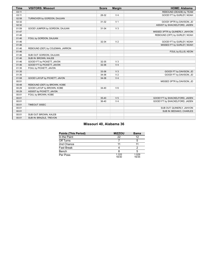| <b>Time</b> | <b>VISITORS: Missouri</b>        | <b>Score</b> | <b>Margin</b>  | <b>HOME: Alabama</b>            |
|-------------|----------------------------------|--------------|----------------|---------------------------------|
| 03:11       |                                  |              |                | REBOUND (DEADB) by TEAM         |
| 03:11       |                                  | 28-32        | V <sub>4</sub> | GOOD! FT by GURLEY, NOAH        |
| 02:58       | TURNOVER by GORDON, DAJUAN       |              |                |                                 |
| 02:32       |                                  | $31 - 32$    | V <sub>1</sub> | GOOD! 3PTR by DAVISON, JD       |
| 02:32       |                                  |              |                | ASSIST by SHACKELFORD, JADEN    |
| 01:59       | GOOD! JUMPER by GORDON, DAJUAN   | 31-34        | V <sub>3</sub> |                                 |
| 01:47       |                                  |              |                | MISSED 3PTR by QUINERLY, JAHVON |
| 01:46       |                                  |              |                | REBOUND (OFF) by GURLEY, NOAH   |
| 01:46       | FOUL by GORDON, DAJUAN           |              |                |                                 |
| 01:46       |                                  | 32-34        | V <sub>2</sub> | GOOD! FT by GURLEY, NOAH        |
| 01:46       |                                  |              |                | MISSED FT by GURLEY, NOAH       |
| 01:46       | REBOUND (DEF) by COLEMAN, JARRON |              |                |                                 |
| 01:46       |                                  |              |                | FOUL by ELLIS, KEON             |
| 01:46       | SUB OUT: GORDON, DAJUAN          |              |                |                                 |
| 01:46       | SUB IN: BROWN, KALEB             |              |                |                                 |
| 01:46       | GOOD! FT by PICKETT, JAVON       | 32-35        | V <sub>3</sub> |                                 |
| 01:46       | GOOD! FT by PICKETT, JAVON       | 32-36        | V <sub>4</sub> |                                 |
| 01:35       | FOUL by PICKETT, JAVON           |              |                |                                 |
| 01:35       |                                  | 33-36        | V <sub>3</sub> | GOOD! FT by DAVISON, JD         |
| 01:35       |                                  | 34-36        | V <sub>2</sub> | GOOD! FT by DAVISON, JD         |
| 01:08       | GOOD! LAYUP by PICKETT, JAVON    | 34-38        | V <sub>4</sub> |                                 |
| 00:51       |                                  |              |                | MISSED 3PTR by DAVISON, JD      |
| 00:48       | REBOUND (DEF) by BROWN, KOBE     |              |                |                                 |
| 00:29       | GOOD! LAYUP by BROWN, KOBE       | $34 - 40$    | $V_6$          |                                 |
| 00:29       | ASSIST by PICKETT, JAVON         |              |                |                                 |
| 00:01       | FOUL by BROWN, KOBE              |              |                |                                 |
| 00:01       |                                  | 35-40        | V <sub>5</sub> | GOOD! FT by SHACKELFORD, JADEN  |
| 00:01       |                                  | 36-40        | V <sub>4</sub> | GOOD! FT by SHACKELFORD, JADEN  |
| 00:01       | TIMEOUT 30SEC                    |              |                |                                 |
| 00:01       |                                  |              |                | SUB OUT: QUINERLY, JAHVON       |
| 00:01       |                                  |              |                | SUB IN: BEDIAKO, CHARLES        |
| 00:01       | SUB OUT: BROWN, KALEB            |              |                |                                 |
| 00:01       | SUB IN: BRAZILE, TREVON          |              |                |                                 |

# **Missouri 40, Alabama 36**

| <b>Points (This Period)</b> | <b>MIZZOU</b>  | Bama           |
|-----------------------------|----------------|----------------|
| In the Paint                | 22             | 12             |
| Off Turns                   |                |                |
| 2nd Chance                  |                |                |
| Fast Break                  |                |                |
| Bench                       |                |                |
| Per Poss                    | 1.333<br>18/30 | 1.029<br>16/35 |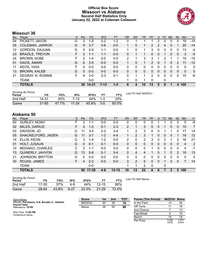### **Official Box Score Missouri vs Alabama Second Half Statistics Only January 22, 2022 at Coleman Coliseum**



# **Missouri 36**

| No. | Plaver                    | S  | <b>Pts</b> | <b>FG</b> | 3FG      | <b>FT</b> | <b>OR</b> | <b>DR</b> | <b>TR</b>    | PF             | A        | TO | <b>Blk</b>   | Stl          | Min          | $+/-$        |
|-----|---------------------------|----|------------|-----------|----------|-----------|-----------|-----------|--------------|----------------|----------|----|--------------|--------------|--------------|--------------|
| 04  | PICKETT, JAVON            | G  | 3          | $1 - 5$   | $0 - 2$  | $1 - 2$   | 0         |           |              |                | 2        | 0  | 0            | 0            | 19           | $-14$        |
| 05  | <b>COLEMAN, JARRON</b>    | G  | 9          | $3 - 7$   | $3-6$    | $0 - 0$   |           | 0         |              | $\overline{2}$ | 2        | 4  | $\Omega$     |              | 20           | $-14$        |
| 12  | <b>GORDON, DAJUAN</b>     | G  | 5          | $2 - 4$   | $1 - 1$  | $0 - 0$   |           | 0         |              | 3              | 0        | 0  | 0            | 0            | 13           | -4           |
| 23  | <b>BRAZILE, TREVON</b>    | F. | 3          | $1 - 1$   | $1 - 1$  | $0 - 0$   | 0         | 1         |              | 0              | 0        | 1  | $\mathbf{0}$ | $\mathbf{0}$ | 3            | $-5$         |
| 24  | <b>BROWN, KOBE</b>        | F  | 2          | $1 - 4$   | $0 - 0$  | $0 - 0$   | 2         | 1         | 3            | 3              |          | 2  |              | 1            | 19           | $-15$        |
| 01  | DAVIS, AMARI              | G  | 6          | $3 - 5$   | $0 - 0$  | $0 - 0$   |           | 0         |              | $\mathcal{P}$  | 0        |    | 0            | 2            | 11           | $-12$        |
| 11  | KEITA, YAYA               | F  | $\Omega$   | $0 - 0$   | $0 - 0$  | $0-0$     | 0         | $\Omega$  | 0            | 0              | 0        | 0  | $\Omega$     | $\Omega$     | $\Omega$     | $\mathbf{0}$ |
| 13  | <b>BROWN, KALEB</b>       | G  | $\Omega$   | $0 - 0$   | $0 - 0$  | $0 - 0$   | 0         | 0         | $\mathbf{0}$ | 0              | $\Omega$ | 0  | $\Omega$     | 0            | $\mathbf{0}$ | $\mathbf{0}$ |
| 21  | <b>DEGRAY III, RONNIE</b> | F. | 8          | $3 - 5$   | $2 - 3$  | $0 - 1$   | 0         | 1         |              | 2              | $\Omega$ | 0  | 0            | 0            | 15           | -6           |
|     | TEAM                      |    |            | $0 - 0$   |          |           |           | 0         |              | 0              |          | 0  |              |              |              |              |
|     | <b>TOTALS</b>             |    |            | 36 14-31  | $7 - 13$ | $1 - 3$   | 6         | 4         | 10           | 13             | 5        | 8  |              | 4            | 100          |              |

| <b>Shooting By Period</b><br>Period | FG    | FG%      | 3FG     | 3FG%      | FT | FT%   | Last FG Half: MIZZOU - |
|-------------------------------------|-------|----------|---------|-----------|----|-------|------------------------|
| 2nd Half                            | 14-31 | 45%      | 7-13    | 54% 1-3   |    | 33%   |                        |
| Game                                | 31-65 | $47.7\%$ | $11-24$ | 45.8% 3-5 |    | 60.0% |                        |

# **Alabama 50**

| No. | Plaver                  | S  | <b>Pts</b>     | FG.     | 3FG     | <b>FT</b> | <b>OR</b>      | DR       | TR       | <b>PF</b> | A        | TO.          | <b>Blk</b> | Stl           | Min      | $+/-$          |
|-----|-------------------------|----|----------------|---------|---------|-----------|----------------|----------|----------|-----------|----------|--------------|------------|---------------|----------|----------------|
| 00  | <b>GURLEY, NOAH</b>     | F  | 2              | 1-1     | $0 - 0$ | $0-0$     | 0              | 0        | 0        |           |          |              | 0          | 0             | 5        | -6             |
| 02  | <b>MILES, DARIUS</b>    | F. | 4              | $1 - 2$ | $0 - 1$ | $2 - 3$   | $\overline{2}$ |          | 3        | 0         | 0        |              | 0          | 0             | 10       | $\overline{7}$ |
| 03  | DAVISON, JD             | G  | 11             | $3 - 4$ | $2 - 2$ | 3-4       |                | 2        | 3        | 0         | 0        |              |            | 0             | 17       | 14             |
| 05  | SHACKELFORD, JADEN      | G  | 11             | $3 - 7$ | $1 - 2$ | $4 - 4$   | 1              | 2        | 3        |           | 0        | 0            | 0          |               | 19       | 12             |
| 14  | ELLIS, KEON             | G  | 3              | $1 - 4$ | $1 - 2$ | $0 - 0$   | 2              | 0        | 2        | 3         | $\Omega$ | 2            |            | 2             | 16       | 21             |
| 01  | HOLT, JUSAUN            | G  | 0              | $0 - 1$ | $0 - 1$ | $0 - 0$   | 0              | 0        | 0        | 0         | 0        | $\Omega$     | 0          | $\Omega$      | 4        | 2              |
| 10  | <b>BEDIAKO, CHARLES</b> | C  | 2              | $1 - 1$ | $0 - 0$ | $0 - 0$   | $\Omega$       | $\Omega$ | $\Omega$ |           | 0        | 0            | 0          | $\Omega$      | 4        | $-7$           |
| 13  | <b>QUINERLY, JAHVON</b> | G  | 13             | $5-8$   | $0 - 1$ | $3 - 4$   | $\Omega$       | 4        | 4        |           | 5        | 1            | 0          | $\mathcal{P}$ | 19       | 13             |
| 21  | <b>JOHNSON, BRITTON</b> | G  | 0              | $0 - 0$ | $0 - 0$ | $0 - 0$   | 0              | 0        | 0        | 0         | 0        | $\Omega$     | 0          | 0             | $\Omega$ | $\Omega$       |
| 33  | ROJAS, JAMES            | F. | $\overline{4}$ | $2 - 2$ | $0 - 0$ | $0 - 0$   | 3              | 2        | 5        | 0         | $\Omega$ |              | 0          | $\Omega$      | 7        | 14             |
|     | <b>TEAM</b>             |    |                | $0 - 0$ |         |           |                |          | 2        | $\Omega$  |          | $\mathbf{0}$ |            |               |          |                |
|     | <b>TOTALS</b>           |    | 50             | 17-30   | $4 - 9$ | $12 - 15$ | 10             | 12       | 22       | 6         | 6        |              | 2          | 5             | 100      |                |

| <b>Shooting By Period</b><br>Period | FG    | FG%   | 3FG      | 3FG%     | FТ        | FT%   | La. |
|-------------------------------------|-------|-------|----------|----------|-----------|-------|-----|
| 2nd Half                            | 17-30 | 57%   | 4-9      | 44%      | $12 - 15$ | 80%   |     |
| Game                                | 28-64 | 43.8% | $9 - 27$ | $33.3\%$ | $21 - 29$ | 72.4% |     |

*Last FG Half:* Bama -

| <b>Score</b>  | 1st | 2nd | тот | <b>Points (This Period)</b> | <b>MIZZOU</b> | Bar     |
|---------------|-----|-----|-----|-----------------------------|---------------|---------|
| <b>MIZZOU</b> | 40  | 36  | 76  | In the Paint                | 14            | 26      |
| Bama          | 36  | 50  | 86  | Off Turns                   |               | 16      |
|               |     |     |     | 2nd Chance                  |               | $\cdot$ |
|               |     |     |     | <b>Fast Break</b>           |               | 1(      |
|               |     |     |     |                             |               | .       |

| <b>Points (This Period)</b> | <b>MIZZOU Bama</b> |                |
|-----------------------------|--------------------|----------------|
| In the Paint                | 14                 | 26             |
| Off Turns                   | 11                 | 16             |
| 2nd Chance                  | 7                  | 13             |
| <b>Fast Break</b>           | ŋ                  | 10             |
| Bench                       | 14                 | 19             |
| Per Poss                    | 1.029<br>15/35     | 1.471<br>23/34 |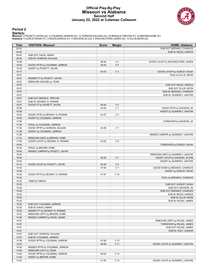#### **Official Play-By-Play Missouri vs Alabama Second Half January 22, 2022 at Coleman Coliseum**



#### **Period 2**

<mark>Starters:</mark><br>Missouri: 4 PICKETT,JAVON (G); 5 COLEMAN,JARRON (G); 12 GORDON,DAJUAN (G); 23 BRAZILE,TREVON (F); 24 BROWN,KOBE (F);<br>**Alabama**: 0 GURLEY,NOAH (F); 2 MILES,DARIUS (F); 3 DAVISON,JD (G); 5 SHACKELFORD,JADEN (G);

| Time  | <b>VISITORS: Missouri</b>         | <b>Score</b> | <b>Margin</b>   | <b>HOME: Alabama</b>              |
|-------|-----------------------------------|--------------|-----------------|-----------------------------------|
| 20:00 |                                   |              |                 | SUB OUT: BEDIAKO, CHARLES         |
| 20:00 |                                   |              |                 | SUB IN: MILES, DARIUS             |
| 20:00 | SUB OUT: DAVIS, AMARI             |              |                 |                                   |
| 20:00 | SUB IN: GORDON, DAJUAN            |              |                 |                                   |
| 19:48 |                                   | 38-40        | V <sub>2</sub>  | GOOD! LAYUP by SHACKELFORD, JADEN |
| 19:34 | GOOD! 3PTR by COLEMAN, JARRON     | 38-43        | V <sub>5</sub>  |                                   |
| 19:34 | ASSIST by PICKETT, JAVON          |              |                 |                                   |
| 19:17 |                                   | 40-43        | $V_3$           | GOOD! LAYUP by GURLEY, NOAH       |
| 18:57 |                                   |              |                 | FOUL by ELLIS, KEON               |
| 18:57 | MISSED FT by PICKETT, JAVON       |              |                 |                                   |
| 18:57 | REBOUND (DEADB) by TEAM           |              |                 |                                   |
| 18:57 |                                   |              |                 |                                   |
|       |                                   |              |                 | SUB OUT: MILES, DARIUS            |
| 18:57 |                                   |              |                 | SUB OUT: ELLIS, KEON              |
| 18:57 |                                   |              |                 | SUB IN: BEDIAKO, CHARLES          |
| 18:57 |                                   |              |                 | SUB IN: QUINERLY, JAHVON          |
| 18:57 | SUB OUT: BRAZILE, TREVON          |              |                 |                                   |
| 18:57 | SUB IN: DEGRAY III, RONNIE        |              |                 |                                   |
| 18:57 | GOOD! FT by PICKETT, JAVON        | 40-44        | V <sub>4</sub>  |                                   |
| 18:38 |                                   | 43-44        | V <sub>1</sub>  | GOOD! 3PTR by DAVISON, JD         |
| 18:38 |                                   |              |                 | ASSIST by QUINERLY, JAHVON        |
| 18:25 | GOOD! 3PTR by DEGRAY III, RONNIE  | 43-47        | V <sub>4</sub>  |                                   |
| 18:25 | ASSIST by COLEMAN, JARRON         |              |                 |                                   |
| 17:56 |                                   |              |                 | TURNOVER by DAVISON, JD           |
| 17:56 | STEAL by COLEMAN, JARRON          |              |                 |                                   |
| 17:38 | GOOD! 3PTR by GORDON, DAJUAN      | 43-50        | V <sub>7</sub>  |                                   |
| 17:38 | ASSIST by COLEMAN, JARRON         |              |                 |                                   |
| 17:26 |                                   |              |                 | MISSED JUMPER by QUINERLY, JAHVON |
| 17:23 | REBOUND (DEF) by BROWN, KOBE      |              |                 |                                   |
| 17:08 | GOOD! LAYUP by DEGRAY III, RONNIE | 43-52        | V <sub>9</sub>  |                                   |
| 16:54 |                                   |              |                 | TURNOVER by GURLEY, NOAH          |
| 16:54 | STEAL by BROWN, KOBE              |              |                 |                                   |
| 16:45 | MISSED JUMPER by PICKETT, JAVON   |              |                 |                                   |
| 16:43 |                                   |              |                 | REBOUND (DEF) by QUINERLY, JAHVON |
| 16:40 |                                   | 45-52        | V <sub>7</sub>  | GOOD! LAYUP by DAVISON, JD [FB]   |
| 16:40 |                                   |              |                 | ASSIST by QUINERLY, JAHVON        |
| 16:10 | GOOD! LAYUP by PICKETT, JAVON     | 45-54        | V <sub>9</sub>  |                                   |
| 15:40 |                                   | 47-54        | V <sub>7</sub>  | GOOD! DUNK by BEDIAKO, CHARLES    |
| 15:40 |                                   |              |                 | ASSIST by GURLEY, NOAH            |
| 15:20 | GOOD! 3PTR by DEGRAY III, RONNIE  | 47-57        | $V$ 10          |                                   |
| 15:20 |                                   |              |                 | FOUL by BEDIAKO, CHARLES          |
| 15:20 |                                   |              |                 |                                   |
|       | <b>TIMEOUT MEDIA</b>              |              |                 |                                   |
| 15:20 |                                   |              |                 | SUB OUT: GURLEY, NOAH             |
| 15:20 |                                   |              |                 | SUB OUT: DAVISON, JD              |
| 15:20 |                                   |              |                 | SUB OUT: BEDIAKO, CHARLES         |
| 15:20 |                                   |              |                 | SUB IN: MILES, DARIUS             |
| 15:20 |                                   |              |                 | SUB IN: ELLIS, KEON               |
| 15:20 |                                   |              |                 | SUB IN: ROJAS, JAMES              |
| 15:20 | SUB OUT: COLEMAN, JARRON          |              |                 |                                   |
| 15:20 | SUB IN: DAVIS, AMARI              |              |                 |                                   |
| 15:20 | MISSED FT by DEGRAY III, RONNIE   |              |                 |                                   |
| 15:20 | REBOUND (OFF) by BROWN, KOBE      |              |                 |                                   |
| 14:58 | MISSED JUMPER by DAVIS, AMARI     |              |                 |                                   |
| 14:57 |                                   |              |                 | REBOUND (DEF) by ROJAS, JAMES     |
| 14:57 |                                   |              |                 | TURNOVER by ROJAS, JAMES          |
| 14:57 |                                   |              |                 | SUB OUT: ROJAS, JAMES             |
| 14:57 |                                   |              |                 | SUB IN: HOLT, JUSAUN              |
| 14:57 | SUB OUT: GORDON, DAJUAN           |              |                 |                                   |
| 14:57 | SUB IN: COLEMAN, JARRON           |              |                 |                                   |
| 14:38 | GOOD! 3PTR by COLEMAN, JARRON     | 47-60        | V <sub>13</sub> |                                   |
| 14:23 |                                   | 49-60        | V <sub>11</sub> | GOOD! LAYUP by QUINERLY, JAHVON   |
| 14:02 | MISSED 3PTR by COLEMAN, JARRON    |              |                 |                                   |
| 14:00 | REBOUND (OFF) by TEAM             |              |                 |                                   |
| 13:54 | GOOD! 3PTR by COLEMAN, JARRON     | 49-63        | V <sub>14</sub> |                                   |
| 13:54 | ASSIST by BROWN, KOBE             |              |                 |                                   |
| 13:40 |                                   | 51-63        | V <sub>12</sub> | GOOD! LAYUP by QUINERLY, JAHVON   |
|       |                                   |              |                 |                                   |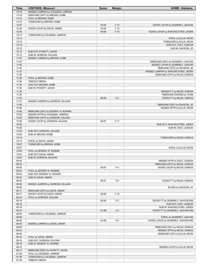| Time           | <b>VISITORS: Missouri</b>           | <b>Score</b> | <b>Margin</b>   | <b>HOME: Alabama</b>                                |
|----------------|-------------------------------------|--------------|-----------------|-----------------------------------------------------|
| 13:19          | MISSED JUMPER by COLEMAN, JARRON    |              |                 |                                                     |
| 13:16          | REBOUND (OFF) by BROWN, KOBE        |              |                 |                                                     |
| 13:10          | FOUL by BROWN, KOBE                 |              |                 |                                                     |
| 13:10          | TURNOVER by BROWN, KOBE             |              |                 |                                                     |
| 12:57          |                                     | 53-63        | $V$ 10          | GOOD! LAYUP by QUINERLY, JAHVON                     |
| 12:35          | GOOD! LAYUP by DAVIS, AMARI         | 53-65        | V <sub>12</sub> |                                                     |
| 12:20          |                                     | 55-65        | $V$ 10          | GOOD! LAYUP by SHACKELFORD, JADEN                   |
| 12:13          | TURNOVER by COLEMAN, JARRON         |              |                 |                                                     |
| 12:13          |                                     |              |                 | STEAL by ELLIS, KEON                                |
| 12:12          |                                     |              |                 | TURNOVER by ELLIS, KEON                             |
| 12:12          |                                     |              |                 | SUB OUT: HOLT, JUSAUN                               |
| 12:12          |                                     |              |                 | SUB IN: DAVISON, JD                                 |
| 12:12          | SUB OUT: PICKETT, JAVON             |              |                 |                                                     |
| 12:12          | SUB IN: GORDON, DAJUAN              |              |                 |                                                     |
| 11:57          | MISSED JUMPER by BROWN, KOBE        |              |                 |                                                     |
| 11:53          |                                     |              |                 | REBOUND (DEF) by QUINERLY, JAHVON                   |
| 11:46          |                                     |              |                 | MISSED LAYUP by QUINERLY, JAHVON                    |
| 11:44          |                                     |              |                 | REBOUND (OFF) by DAVISON, JD                        |
| 11:37          |                                     |              |                 | MISSED JUMPER by SHACKELFORD, JADEN                 |
| 11:36          |                                     |              |                 | REBOUND (OFF) by MILES, DARIUS                      |
| 11:36          | FOUL by BROWN, KOBE                 |              |                 |                                                     |
| 11:36          | <b>TIMEOUT MEDIA</b>                |              |                 |                                                     |
| 11:35          | SUB OUT: BROWN, KOBE                |              |                 |                                                     |
| 11:35          | SUB IN: PICKETT, JAVON              |              |                 |                                                     |
| 11:35          |                                     |              |                 | MISSED FT by MILES, DARIUS                          |
| 11:35          |                                     |              |                 | REBOUND (DEADB) by TEAM                             |
| 11:35          |                                     | 56-65        | V <sub>9</sub>  | GOOD! FT by MILES, DARIUS                           |
| 11:12          | MISSED JUMPER by GORDON, DAJUAN     |              |                 |                                                     |
| 11:09          |                                     |              |                 | REBOUND (DEF) by DAVISON, JD                        |
| 10:58          |                                     |              |                 | MISSED 3PTR by ELLIS, KEON                          |
| 10:56          | REBOUND (DEF) by DEGRAY III, RONNIE |              |                 |                                                     |
| 10:32          | MISSED 3PTR by COLEMAN, JARRON      |              |                 |                                                     |
| 10:30          | REBOUND (OFF) by GORDON, DAJUAN     |              |                 |                                                     |
| 10:29          | GOOD! LAYUP by GORDON, DAJUAN       | 56-67        | V <sub>11</sub> |                                                     |
| 10:25          |                                     |              |                 |                                                     |
| 10:25          |                                     |              |                 | SUB OUT: SHACKELFORD, JADEN<br>SUB IN: HOLT, JUSAUN |
| 10:25          |                                     |              |                 |                                                     |
| 10:25          | SUB OUT: GORDON, DAJUAN             |              |                 |                                                     |
| 10:14          | SUB IN: BROWN, KOBE                 |              |                 |                                                     |
|                |                                     |              |                 | TURNOVER by MILES, DARIUS                           |
| 10:14<br>10:07 | STEAL by DAVIS, AMARI               |              |                 |                                                     |
|                | TURNOVER by BROWN, KOBE             |              |                 |                                                     |
| 10:07          |                                     |              |                 | STEAL by ELLIS, KEON                                |
| 10:04          | FOUL by DEGRAY III, RONNIE          |              |                 |                                                     |
| 10:04          | SUB OUT: DAVIS, AMARI               |              |                 |                                                     |
| 10:04          | SUB IN: GORDON, DAJUAN              |              |                 |                                                     |
| 09:54          |                                     |              |                 | MISSED 3PTR by HOLT, JUSAUN                         |
| 09:54          |                                     |              |                 | REBOUND (OFF) by MILES, DARIUS                      |
| 09:54          |                                     | 58-67        | V <sub>9</sub>  | GOOD! LAYUP by MILES, DARIUS                        |
| 09:54          | FOUL by DEGRAY III, RONNIE          |              |                 |                                                     |
| 09:54          | SUB OUT: DEGRAY III, RONNIE         |              |                 |                                                     |
| 09:54          | SUB IN: DAVIS, AMARI                |              |                 |                                                     |
| 09:54          |                                     | 59-67        | V8              | GOOD! FT by MILES, DARIUS                           |
| 09:26          | MISSED JUMPER by GORDON, DAJUAN     |              |                 |                                                     |
| 09:26          |                                     |              |                 | BLOCK by DAVISON, JD                                |
| 09:17          | REBOUND (OFF) by DAVIS, AMARI       |              |                 |                                                     |
| 09:17          | GOOD! LAYUP by DAVIS, AMARI         | 59-69        | $V$ 10          |                                                     |
| 09:16          | FOUL by GORDON, DAJUAN              |              |                 |                                                     |
| 09:16          |                                     | 60-69        | V <sub>9</sub>  | GOOD! FT by QUINERLY, JAHVON [FB]                   |
| 09:16          |                                     |              |                 | SUB OUT: HOLT, JUSAUN                               |
| 09:16          |                                     |              |                 | SUB IN: SHACKELFORD, JADEN                          |
| 09:16          |                                     | 61-69        | V8              | GOOD! FT by QUINERLY, JAHVON [FB]                   |
| 09:06          | TURNOVER by COLEMAN, JARRON         |              |                 |                                                     |
| 09:06          |                                     |              |                 | STEAL by QUINERLY, JAHVON                           |
| 09:02          |                                     | 63-69        | $V_6$           | GOOD! LAYUP by QUINERLY, JAHVON [FB]                |
| 08:33          | MISSED JUMPER by DAVIS, AMARI       |              |                 |                                                     |
| 08:29          |                                     |              |                 | REBOUND (DEF) by MILES, DARIUS                      |
| 08:23          |                                     |              |                 | MISSED 3PTR by MILES, DARIUS                        |
| 08:20          |                                     |              |                 | REBOUND (OFF) by ELLIS, KEON                        |
| 08:19          | FOUL by DAVIS, AMARI                |              |                 |                                                     |
| 08:19          | SUB OUT: GORDON, DAJUAN             |              |                 |                                                     |
| 08:19          | SUB IN: DEGRAY III, RONNIE          |              |                 |                                                     |
| 08:15          |                                     |              |                 | MISSED LAYUP by ELLIS, KEON                         |
| 08:13          | REBOUND (DEF) by PICKETT, JAVON     |              |                 |                                                     |
| 07:49          | FOUL by COLEMAN, JARRON             |              |                 |                                                     |
| 07:49          | TURNOVER by COLEMAN, JARRON         |              |                 |                                                     |
| 07:48          | <b>TIMEOUT MEDIA</b>                |              |                 |                                                     |
|                |                                     |              |                 |                                                     |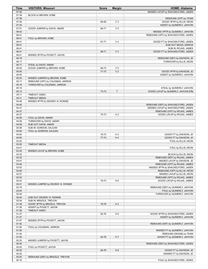| Time           | <b>VISITORS: Missouri</b>                                 | <b>Score</b>   | <b>Margin</b>        | <b>HOME: Alabama</b>                                              |
|----------------|-----------------------------------------------------------|----------------|----------------------|-------------------------------------------------------------------|
| 07:38          |                                                           |                |                      | MISSED LAYUP by SHACKELFORD, JADEN                                |
| 07:38          | BLOCK by BROWN, KOBE                                      |                |                      |                                                                   |
| 07:38          |                                                           |                |                      | REBOUND (OFF) by TEAM                                             |
| 07:30          |                                                           | 66-69          | $V_3$                | GOOD! 3PTR by ELLIS, KEON                                         |
| 07:30          |                                                           |                | V <sub>5</sub>       | ASSIST by QUINERLY, JAHVON                                        |
| 07:01<br>06:43 | GOOD! JUMPER by DAVIS, AMARI                              | 66-71          |                      | MISSED 3PTR by QUINERLY, JAHVON                                   |
| 06:41          |                                                           |                |                      | REBOUND (OFF) by SHACKELFORD, JADEN                               |
| 06:41          | FOUL by BROWN, KOBE                                       |                |                      |                                                                   |
| 06:41          |                                                           | 67-71          | V <sub>4</sub>       | GOOD! FT by SHACKELFORD, JADEN                                    |
| 06:41          |                                                           |                |                      | SUB OUT: MILES, DARIUS                                            |
| 06:41          |                                                           |                |                      | SUB IN: ROJAS, JAMES                                              |
| 06:41          |                                                           | 68-71          | $V_3$                | GOOD! FT by SHACKELFORD, JADEN                                    |
| 06:21          | MISSED 3PTR by PICKETT, JAVON                             |                |                      |                                                                   |
| 06:18          |                                                           |                |                      | REBOUND (DEF) by DAVISON, JD                                      |
| 06:17<br>06:17 | STEAL by DAVIS, AMARI                                     |                |                      | TURNOVER by ELLIS, KEON                                           |
| 06:00          | GOOD! JUMPER by BROWN, KOBE                               | 68-73          | V <sub>5</sub>       |                                                                   |
| 05:45          |                                                           | 71-73          | V <sub>2</sub>       | GOOD! 3PTR by DAVISON, JD                                         |
| 05:45          |                                                           |                |                      | ASSIST by QUINERLY, JAHVON                                        |
| 05:23          | MISSED JUMPER by BROWN, KOBE                              |                |                      |                                                                   |
| 05:17          | REBOUND (OFF) by COLEMAN, JARRON                          |                |                      |                                                                   |
| 05:16          | TURNOVER by COLEMAN, JARRON                               |                |                      |                                                                   |
| 05:16          |                                                           |                |                      | STEAL by QUINERLY, JAHVON                                         |
| 05:12          |                                                           | 73-73          | T                    | GOOD! LAYUP by QUINERLY, JAHVON [FB]                              |
| 05:11          | TIMEOUT 30SEC                                             |                |                      |                                                                   |
| 05:11<br>04:48 | <b>TIMEOUT MEDIA</b><br>MISSED 3PTR by DEGRAY III, RONNIE |                |                      |                                                                   |
| 04:45          |                                                           |                |                      | REBOUND (DEF) by SHACKELFORD, JADEN                               |
| 04:41          |                                                           |                |                      | MISSED LAYUP by SHACKELFORD, JADEN                                |
| 04:37          |                                                           |                |                      | REBOUND (OFF) by ROJAS, JAMES                                     |
| 04:37          |                                                           | 75-73          | H <sub>2</sub>       | GOOD! LAYUP by ROJAS, JAMES                                       |
| 04:09          | FOUL by DAVIS, AMARI                                      |                |                      |                                                                   |
| 04:09          | TURNOVER by DAVIS, AMARI                                  |                |                      |                                                                   |
| 04:09          | SUB OUT: DAVIS, AMARI                                     |                |                      |                                                                   |
| 04:09          | SUB IN: GORDON, DAJUAN                                    |                |                      |                                                                   |
| 04:00          | FOUL by GORDON, DAJUAN                                    |                |                      |                                                                   |
| 04:00<br>04:00 |                                                           | 76-73<br>77-73 | H <sub>3</sub><br>H4 | GOOD! FT by DAVISON, JD<br>GOOD! FT by DAVISON, JD                |
| 03:53          |                                                           |                |                      | FOUL by ELLIS, KEON                                               |
| 03:52          | <b>TIMEOUT MEDIA</b>                                      |                |                      |                                                                   |
| 03:41          |                                                           |                |                      | FOUL by ELLIS, KEON                                               |
| 03:32          | MISSED LAYUP by BROWN, KOBE                               |                |                      |                                                                   |
| 03:32          |                                                           |                |                      | BLOCK by ELLIS, KEON                                              |
| 03:23          |                                                           |                |                      | REBOUND (DEF) by ROJAS, JAMES                                     |
| 03:07          |                                                           |                |                      | MISSED LAYUP by DAVISON, JD                                       |
| 03:04          |                                                           |                |                      | REBOUND (OFF) by ROJAS, JAMES                                     |
| 03:03<br>03:00 |                                                           |                |                      | MISSED 3PTR by SHACKELFORD, JADEN<br>REBOUND (OFF) by ELLIS, KEON |
| 02:57          |                                                           |                |                      | MISSED LAYUP by ELLIS, KEON                                       |
| 02:53          |                                                           |                |                      | REBOUND (OFF) by ROJAS, JAMES                                     |
| 02:53          |                                                           | 79-73          | H <sub>6</sub>       | GOOD! LAYUP by ROJAS, JAMES                                       |
| 02:21          | MISSED JUMPER by DEGRAY III, RONNIE                       |                |                      |                                                                   |
| 02:18          |                                                           |                |                      | REBOUND (DEF) by QUINERLY, JAHVON                                 |
| 02:04          |                                                           |                |                      | FOUL by QUINERLY, JAHVON                                          |
| 02:04          |                                                           |                |                      | TURNOVER by QUINERLY, JAHVON                                      |
| 02:04          | SUB OUT: DEGRAY III, RONNIE                               |                |                      |                                                                   |
| 02:04<br>01:38 | SUB IN: BRAZILE, TREVON<br>GOOD! 3PTR by BRAZILE, TREVON  | 79-76          | $H_3$                |                                                                   |
| 01:38          | ASSIST by PICKETT, JAVON                                  |                |                      |                                                                   |
| 01:38          | TIMEOUT 30SEC                                             |                |                      |                                                                   |
| 01:27          |                                                           | 82-76          | H <sub>6</sub>       | GOOD! 3PTR by SHACKELFORD, JADEN                                  |
| 01:27          |                                                           |                |                      | ASSIST by QUINERLY, JAHVON                                        |
| 01:07          | MISSED 3PTR by PICKETT, JAVON                             |                |                      |                                                                   |
| 01:02          |                                                           |                |                      | REBOUND (DEF) by QUINERLY, JAHVON                                 |
| 01:00          | FOUL by COLEMAN, JARRON                                   |                |                      |                                                                   |
| 01:00          |                                                           |                |                      | MISSED FT by QUINERLY, JAHVON                                     |
| 01:00<br>01:00 |                                                           | 83-76          | H <sub>7</sub>       | REBOUND (DEADB) by TEAM<br>GOOD! FT by QUINERLY, JAHVON           |
| 00:33          | MISSED JUMPER by PICKETT, JAVON                           |                |                      |                                                                   |
| 00:30          |                                                           |                |                      | REBOUND (DEF) by SHACKELFORD, JADEN                               |
| 00:25          | FOUL by PICKETT, JAVON                                    |                |                      |                                                                   |
| 00:25          |                                                           | 84-76          | H 8                  | GOOD! FT by DAVISON, JD                                           |
| 00:25          |                                                           |                |                      | MISSED FT by DAVISON, JD                                          |
| 00:25          | REBOUND (DEF) by BRAZILE, TREVON                          |                |                      |                                                                   |
| 00:16          |                                                           |                |                      | FOUL by SHACKELFORD, JADEN                                        |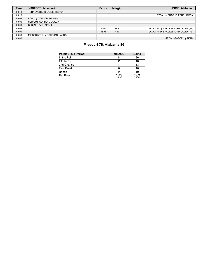| <b>Time</b> | <b>VISITORS: Missouri</b>      | <b>Score</b> | <b>Margin</b> | <b>HOME: Alabama</b>                |
|-------------|--------------------------------|--------------|---------------|-------------------------------------|
| 00:13       | TURNOVER by BRAZILE, TREVON    |              |               |                                     |
| 00:13       |                                |              |               | STEAL by SHACKELFORD, JADEN         |
| 00:09       | FOUL by GORDON, DAJUAN         |              |               |                                     |
| 00:09       | SUB OUT: GORDON, DAJUAN        |              |               |                                     |
| 00:09       | SUB IN: DAVIS, AMARI           |              |               |                                     |
| 00:09       |                                | 85-76        | H9            | GOOD! FT by SHACKELFORD, JADEN [FB] |
| 00:09       |                                | 86-76        | H 10          | GOOD! FT by SHACKELFORD, JADEN [FB] |
| 00:00       | MISSED 3PTR by COLEMAN, JARRON |              |               |                                     |
| 00:00       |                                |              |               | REBOUND (DEF) by TEAM               |

# **Missouri 76, Alabama 86**

| <b>Points (This Period)</b> | <b>MIZZOU</b>  | <b>Bama</b>    |
|-----------------------------|----------------|----------------|
| In the Paint                | 14             | 26             |
| Off Turns                   | 11             | 16             |
| 2nd Chance                  |                | 13             |
| <b>Fast Break</b>           |                | 10             |
| Bench                       | 14             | 19             |
| Per Poss                    | 1.029<br>15/35 | 1.471<br>23/34 |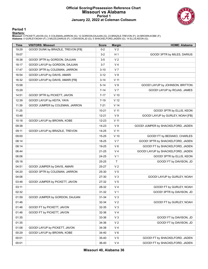### **Official Scoring/Possession Reference Chart Missouri vs Alabama Period 1 January 22, 2022 at Coleman Coliseum**



**Period 1**

<mark>Starters:</mark><br>Missouri: 4 PICKETT,JAVON (G); 5 COLEMAN,JARRON (G); 12 GORDON,DAJUAN (G); 23 BRAZILE,TREVON (F); 24 BROWN,KOBE (F);<br>**Alabama**: 0 GURLEY,NOAH (F); 2 MILES,DARIUS (F); 3 DAVISON,JD (G); 5 SHACKELFORD,JADEN (G);

| <b>Time</b> | <b>VISITORS: Missouri</b>          | <b>Score</b> | <b>Margin</b>   | <b>HOME: Alabama</b>               |
|-------------|------------------------------------|--------------|-----------------|------------------------------------|
| 19:29       | GOOD! DUNK by BRAZILE, TREVON [FB] | $0 - 2$      | V <sub>2</sub>  |                                    |
| 19:07       |                                    | $3 - 2$      | H <sub>1</sub>  | GOOD! 3PTR by MILES, DARIUS        |
| 18:38       | GOOD! 3PTR by GORDON, DAJUAN       | $3-5$        | V <sub>2</sub>  |                                    |
| 18:17       | GOOD! LAYUP by GORDON, DAJUAN      | $3 - 7$      | V <sub>4</sub>  |                                    |
| 17:47       | GOOD! 3PTR by COLEMAN, JARRON      | $3 - 10$     | V <sub>7</sub>  |                                    |
| 16:54       | GOOD! LAYUP by DAVIS, AMARI        | $3 - 12$     | V <sub>9</sub>  |                                    |
| 16:32       | GOOD! LAYUP by DAVIS, AMARI [FB]   | $3 - 14$     | $V$ 11          |                                    |
| 15:58       |                                    | $5 - 14$     | V <sub>9</sub>  | GOOD! LAYUP by JOHNSON, BRITTON    |
| 15:29       |                                    | $7 - 14$     | V <sub>7</sub>  | GOOD! LAYUP by ROJAS, JAMES        |
| 14:51       | GOOD! 3PTR by PICKETT, JAVON       | $7 - 17$     | $V$ 10          |                                    |
| 12:39       | GOOD! LAYUP by KEITA, YAYA         | $7 - 19$     | V <sub>12</sub> |                                    |
| 11:39       | GOOD! JUMPER by COLEMAN, JARRON    | $7 - 21$     | V <sub>14</sub> |                                    |
| 11:25       |                                    | $10 - 21$    | V <sub>11</sub> | GOOD! 3PTR by ELLIS, KEON          |
| 10:48       |                                    | $12 - 21$    | V <sub>9</sub>  | GOOD! LAYUP by GURLEY, NOAH [FB]   |
| 10:18       | GOOD! LAYUP by BROWN, KOBE         | $12 - 23$    | $V$ 11          |                                    |
| 09:38       |                                    | $14 - 23$    | V <sub>9</sub>  | GOOD! JUMPER by SHACKELFORD, JADEN |
| 09:11       | GOOD! LAYUP by BRAZILE, TREVON     | $14 - 25$    | V <sub>11</sub> |                                    |
| 09:00       |                                    | 15-25        | $V$ 10          | GOOD! FT by BEDIAKO, CHARLES       |
| 08:14       |                                    | 18-25        | V <sub>7</sub>  | GOOD! 3PTR by SHACKELFORD, JADEN   |
| 08:14       |                                    | 19-25        | $V_6$           | GOOD! FT by SHACKELFORD, JADEN     |
| 06:44       |                                    | $21 - 25$    | V <sub>4</sub>  | GOOD! LAYUP by SHACKELFORD, JADEN  |
| 06:06       |                                    | 24-25        | V <sub>1</sub>  | GOOD! 3PTR by ELLIS, KEON          |
| 05:18       |                                    | 25-25        | $\mathsf{T}$    | GOOD! FT by DAVISON, JD            |
| 04:51       | GOOD! JUMPER by DAVIS, AMARI       | 25-27        | V <sub>2</sub>  |                                    |
| 04:20       | GOOD! 3PTR by COLEMAN, JARRON      | 25-30        | V <sub>5</sub>  |                                    |
| 04:06       |                                    | 27-30        | V <sub>3</sub>  | GOOD! LAYUP by GURLEY, NOAH        |
| 03:48       | GOOD! JUMPER by PICKETT, JAVON     | 27-32        | V <sub>5</sub>  |                                    |
| 03:11       |                                    | 28-32        | V <sub>4</sub>  | GOOD! FT by GURLEY, NOAH           |
| 02:32       |                                    | 31-32        | V <sub>1</sub>  | GOOD! 3PTR by DAVISON, JD          |
| 01:59       | GOOD! JUMPER by GORDON, DAJUAN     | $31 - 34$    | V <sub>3</sub>  |                                    |
| 01:46       |                                    | 32-34        | V <sub>2</sub>  | GOOD! FT by GURLEY, NOAH           |
| 01:46       | GOOD! FT by PICKETT, JAVON         | 32-35        | V <sub>3</sub>  |                                    |
| 01:46       | GOOD! FT by PICKETT, JAVON         | 32-36        | V <sub>4</sub>  |                                    |
| 01:35       |                                    | 33-36        | V <sub>3</sub>  | GOOD! FT by DAVISON, JD            |
| 01:35       |                                    | 34-36        | V <sub>2</sub>  | GOOD! FT by DAVISON, JD            |
| 01:08       | GOOD! LAYUP by PICKETT, JAVON      | 34-38        | V <sub>4</sub>  |                                    |
| 00:29       | GOOD! LAYUP by BROWN, KOBE         | 34-40        | $V_6$           |                                    |
| 00:01       |                                    | 35-40        | V <sub>5</sub>  | GOOD! FT by SHACKELFORD, JADEN     |
| 00:01       |                                    | 36-40        | V <sub>4</sub>  | GOOD! FT by SHACKELFORD, JADEN     |

**Missouri 40, Alabama 36**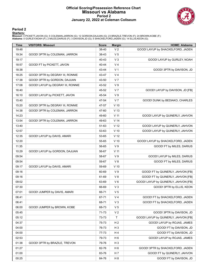#### **Official Scoring/Possession Reference Chart Missouri vs Alabama Period 2 January 22, 2022 at Coleman Coliseum**



#### **Period 2**

<mark>Starters:</mark><br>Missouri: 4 PICKETT,JAVON (G); 5 COLEMAN,JARRON (G); 12 GORDON,DAJUAN (G); 23 BRAZILE,TREVON (F); 24 BROWN,KOBE (F);<br>**Alabama**: 0 GURLEY,NOAH (F); 2 MILES,DARIUS (F); 3 DAVISON,JD (G); 5 SHACKELFORD,JADEN (G);

| <b>Time</b> | <b>VISITORS: Missouri</b>         | <b>Score</b> | <b>Margin</b>   | <b>HOME: Alabama</b>                 |
|-------------|-----------------------------------|--------------|-----------------|--------------------------------------|
| 19:48       |                                   | 38-40        | V <sub>2</sub>  | GOOD! LAYUP by SHACKELFORD, JADEN    |
| 19:34       | GOOD! 3PTR by COLEMAN, JARRON     | 38-43        | V <sub>5</sub>  |                                      |
| 19:17       |                                   | 40-43        | $V_3$           | GOOD! LAYUP by GURLEY, NOAH          |
| 18:57       | GOOD! FT by PICKETT, JAVON        | 40-44        | V <sub>4</sub>  |                                      |
| 18:38       |                                   | 43-44        | V <sub>1</sub>  | GOOD! 3PTR by DAVISON, JD            |
| 18:25       | GOOD! 3PTR by DEGRAY III, RONNIE  | 43-47        | V <sub>4</sub>  |                                      |
| 17:38       | GOOD! 3PTR by GORDON, DAJUAN      | 43-50        | V <sub>7</sub>  |                                      |
| 17:08       | GOOD! LAYUP by DEGRAY III, RONNIE | 43-52        | V <sub>9</sub>  |                                      |
| 16:40       |                                   | 45-52        | V <sub>7</sub>  | GOOD! LAYUP by DAVISON, JD [FB]      |
| 16:10       | GOOD! LAYUP by PICKETT, JAVON     | 45-54        | V <sub>9</sub>  |                                      |
| 15:40       |                                   | 47-54        | V <sub>7</sub>  | GOOD! DUNK by BEDIAKO, CHARLES       |
| 15:20       | GOOD! 3PTR by DEGRAY III, RONNIE  | 47-57        | $V$ 10          |                                      |
| 14:38       | GOOD! 3PTR by COLEMAN, JARRON     | 47-60        | V <sub>13</sub> |                                      |
| 14:23       |                                   | 49-60        | V <sub>11</sub> | GOOD! LAYUP by QUINERLY, JAHVON      |
| 13:54       | GOOD! 3PTR by COLEMAN, JARRON     | 49-63        | V <sub>14</sub> |                                      |
| 13:40       |                                   | 51-63        | V <sub>12</sub> | GOOD! LAYUP by QUINERLY, JAHVON      |
| 12:57       |                                   | 53-63        | $V$ 10          | GOOD! LAYUP by QUINERLY, JAHVON      |
| 12:35       | GOOD! LAYUP by DAVIS, AMARI       | 53-65        | V <sub>12</sub> |                                      |
| 12:20       |                                   | 55-65        | $V$ 10          | GOOD! LAYUP by SHACKELFORD, JADEN    |
| 11:35       |                                   | 56-65        | V <sub>9</sub>  | GOOD! FT by MILES, DARIUS            |
| 10:29       | GOOD! LAYUP by GORDON, DAJUAN     | 56-67        | $V$ 11          |                                      |
| 09:54       |                                   | 58-67        | V <sub>9</sub>  | GOOD! LAYUP by MILES, DARIUS         |
| 09:54       |                                   | 59-67        | V8              | GOOD! FT by MILES, DARIUS            |
| 09:17       | GOOD! LAYUP by DAVIS, AMARI       | 59-69        | $V$ 10          |                                      |
| 09:16       |                                   | 60-69        | V <sub>9</sub>  | GOOD! FT by QUINERLY, JAHVON [FB]    |
| 09:16       |                                   | 61-69        | V8              | GOOD! FT by QUINERLY, JAHVON [FB]    |
| 09:02       |                                   | 63-69        | $V_6$           | GOOD! LAYUP by QUINERLY, JAHVON [FB] |
| 07:30       |                                   | 66-69        | $V_3$           | GOOD! 3PTR by ELLIS, KEON            |
| 07:01       | GOOD! JUMPER by DAVIS, AMARI      | 66-71        | V <sub>5</sub>  |                                      |
| 06:41       |                                   | 67-71        | V <sub>4</sub>  | GOOD! FT by SHACKELFORD, JADEN       |
| 06:41       |                                   | 68-71        | $V_3$           | GOOD! FT by SHACKELFORD, JADEN       |
| 06:00       | GOOD! JUMPER by BROWN, KOBE       | 68-73        | V <sub>5</sub>  |                                      |
| 05:45       |                                   | 71-73        | V <sub>2</sub>  | GOOD! 3PTR by DAVISON, JD            |
| 05:12       |                                   | 73-73        | Τ               | GOOD! LAYUP by QUINERLY, JAHVON [FB] |
| 04:37       |                                   | 75-73        | H <sub>2</sub>  | GOOD! LAYUP by ROJAS, JAMES          |
| 04:00       |                                   | 76-73        | $H_3$           | GOOD! FT by DAVISON, JD              |
| 04:00       |                                   | 77-73        | H 4             | GOOD! FT by DAVISON, JD              |
| 02:53       |                                   | 79-73        | H <sub>6</sub>  | GOOD! LAYUP by ROJAS, JAMES          |
| 01:38       | GOOD! 3PTR by BRAZILE, TREVON     | 79-76        | $H_3$           |                                      |
| 01:27       |                                   | 82-76        | H <sub>6</sub>  | GOOD! 3PTR by SHACKELFORD, JADEN     |
| 01:00       |                                   | 83-76        | H 7             | GOOD! FT by QUINERLY, JAHVON         |
| 00:25       |                                   | 84-76        | H <sub>8</sub>  | GOOD! FT by DAVISON, JD              |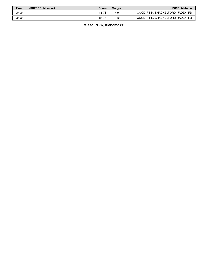| Time  | <b>VISITORS: Missouri</b> | Score | <b>Margin</b> | <b>HOME: Alabama</b>                |
|-------|---------------------------|-------|---------------|-------------------------------------|
| 00:09 |                           | 85-76 | H 9           | GOOD! FT by SHACKELFORD, JADEN [FB] |
| 00:09 |                           | 86-76 | H 10          | GOOD! FT by SHACKELFORD, JADEN [FB] |

**Missouri 76, Alabama 86**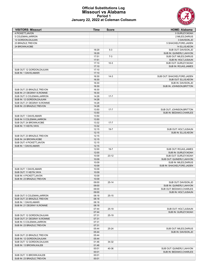#### **Official Substitutions Log Missouri vs Alabama Period 1 January 22, 2022 at Coleman Coliseum**



| <b>VISITORS: Missouri</b>      | Time  | <b>Score</b> | <b>HOME: Alabama</b>        |
|--------------------------------|-------|--------------|-----------------------------|
| 4 PICKETT, JAVON               |       |              | 0 GURLEY, NOAH              |
| 5 COLEMAN, JARRON              |       |              | 2 MILES, DARIUS             |
| 12 GORDON, DAJUAN              |       |              | 3 DAVISON, JD               |
| 23 BRAZILE, TREVON             |       |              | 5 SHACKELFORD, JADEN        |
| 24 BROWN, KOBE                 |       |              | 14 ELLIS, KEON              |
|                                | 18:29 | $5-3$        | SUB OUT: DAVISON, JD        |
|                                | 18:29 |              | SUB IN: QUINERLY, JAHVON    |
|                                | 17:51 | $7-3$        | SUB OUT: MILES, DARIUS      |
|                                | 17:51 |              | SUB IN: HOLT, JUSAUN        |
|                                | 17:10 | $10-3$       | SUB OUT: GURLEY, NOAH       |
|                                | 17:10 |              | SUB IN: ROJAS, JAMES        |
| SUB OUT: 12 GORDON, DAJUAN     | 17:10 |              |                             |
| SUB IN: 1 DAVIS, AMARI         | 17:10 |              |                             |
|                                | 16:30 | $14-3$       | SUB OUT: SHACKELFORD, JADEN |
|                                | 16:30 |              | SUB OUT: ELLIS, KEON        |
|                                | 16:30 |              | SUB IN: DAVISON, JD         |
|                                | 16:30 |              | SUB IN: JOHNSON, BRITTON    |
| SUB OUT: 23 BRAZILE, TREVON    | 16:30 |              |                             |
| SUB IN: 21 DEGRAY III, RONNIE  | 16:30 |              |                             |
| SUB OUT: 5 COLEMAN, JARRON     | 14:28 | $17 - 7$     |                             |
| SUB IN: 12 GORDON, DAJUAN      | 14:28 |              |                             |
| SUB OUT: 21 DEGRAY III, RONNIE | 14:28 |              |                             |
| SUB IN: 23 BRAZILE, TREVON     | 14:28 |              |                             |
|                                | 13:50 | $17 - 7$     | SUB OUT: JOHNSON, BRITTON   |
|                                | 13:50 |              | SUB IN: BEDIAKO, CHARLES    |
| SUB OUT: 1 DAVIS, AMARI        | 13:50 |              |                             |
| SUB IN: 5 COLEMAN, JARRON      | 13:50 |              |                             |
| SUB OUT: 24 BROWN, KOBE        | 13:32 | $17 - 7$     |                             |
| SUB IN: 11 KEITA, YAYA         | 13:32 |              |                             |
|                                | 12:15 | $19 - 7$     | SUB OUT: HOLT, JUSAUN       |
|                                | 12:15 |              | SUB IN: ELLIS, KEON         |
| SUB OUT: 23 BRAZILE, TREVON    | 12:15 |              |                             |
| SUB IN: 24 BROWN, KOBE         | 12:15 |              |                             |
| SUB OUT: 4 PICKETT, JAVON      | 12:15 |              |                             |
| SUB IN: 1 DAVIS, AMARI         | 12:15 |              |                             |
|                                | 12:00 | $19 - 7$     | SUB OUT: ROJAS, JAMES       |
|                                | 12:00 |              | SUB IN: GURLEY, NOAH        |
|                                | 10:09 | $23 - 12$    | SUB OUT: GURLEY, NOAH       |
|                                | 10:09 |              | SUB OUT: QUINERLY, JAHVON   |
|                                | 10:09 |              | SUB IN: MILES, DARIUS       |
|                                | 10:09 |              | SUB IN: SHACKELFORD, JADEN  |
| SUB OUT: 1 DAVIS, AMARI        | 10:09 |              |                             |
| SUB OUT: 11 KEITA, YAYA        | 10:09 |              |                             |
| SUB IN: 4 PICKETT, JAVON       | 10:09 |              |                             |
| SUB IN: 23 BRAZILE, TREVON     | 10:09 |              |                             |
|                                | 09:00 | $25 - 14$    | SUB OUT: DAVISON, JD        |
|                                | 09:00 |              | SUB IN: QUINERLY, JAHVON    |
|                                | 09:00 |              | SUB OUT: BEDIAKO, CHARLES   |
|                                | 09:00 |              | SUB IN: HOLT, JUSAUN        |
| SUB OUT: 5 COLEMAN, JARRON     | 08:18 | $25 - 15$    |                             |
| SUB OUT: 23 BRAZILE, TREVON    | 08:18 |              |                             |
| SUB IN: 1 DAVIS, AMARI         | 08:18 |              |                             |
| SUB IN: 21 DEGRAY III, RONNIE  | 08:18 |              |                             |
|                                | 07:44 | $25-19$      | SUB OUT: HOLT, JUSAUN       |
|                                | 07:44 |              | SUB IN: GURLEY, NOAH        |
| SUB OUT: 12 GORDON, DAJUAN     | 07:31 | $25-19$      |                             |
| SUB OUT: 21 DEGRAY III, RONNIE | 07:31 |              |                             |
| SUB IN: 5 COLEMAN, JARRON      | 07:31 |              |                             |
| SUB IN: 23 BRAZILE, TREVON     | 07:31 |              |                             |
|                                | 05:44 | 25-24        | SUB OUT: MILES, DARIUS      |
|                                | 05:44 |              | SUB IN: DAVISON, JD         |
| SUB OUT: 23 BRAZILE, TREVON    | 05:44 |              |                             |
| SUB IN: 12 GORDON, DAJUAN      | 05:44 |              |                             |
| SUB OUT: 12 GORDON, DAJUAN     | 01:46 | 34-32        |                             |
|                                | 01:46 |              |                             |
| SUB IN: 13 BROWN, KALEB        | 00:01 | 40-36        | SUB OUT: QUINERLY, JAHVON   |
|                                | 00:01 |              | SUB IN: BEDIAKO, CHARLES    |
| SUB OUT: 13 BROWN, KALEB       | 00:01 |              |                             |
| SUB IN: 23 BRAZILE, TREVON     | 00:01 |              |                             |
|                                |       |              |                             |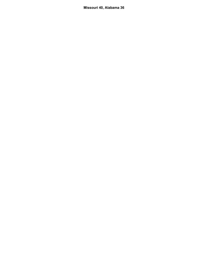**Missouri 40, Alabama 36**